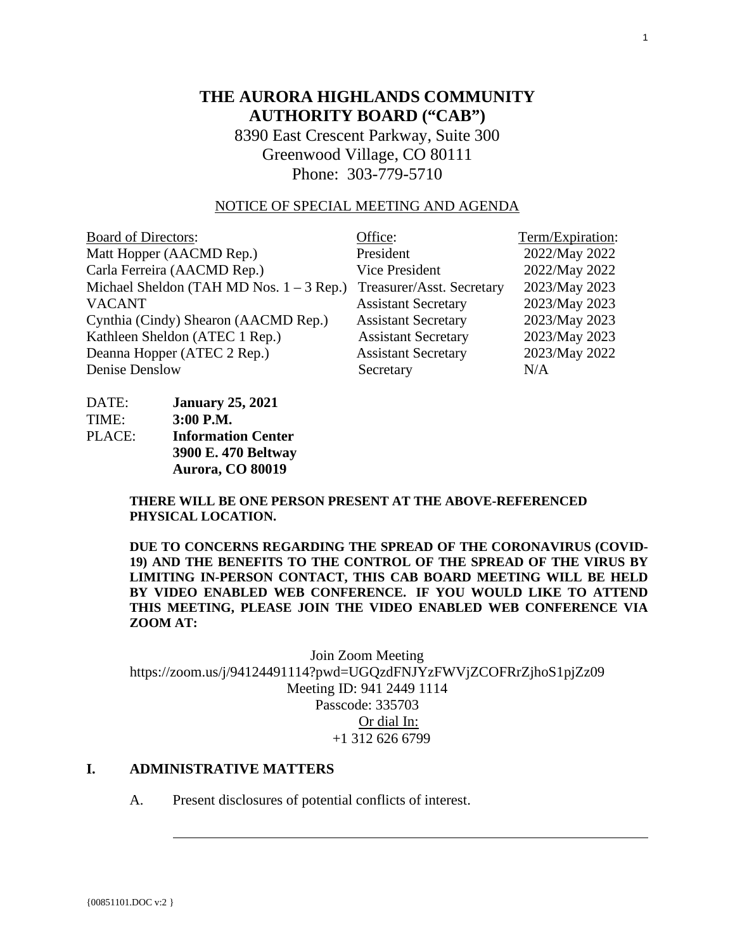# **THE AURORA HIGHLANDS COMMUNITY AUTHORITY BOARD ("CAB")**

8390 East Crescent Parkway, Suite 300 Greenwood Village, CO 80111 Phone: 303-779-5710

# NOTICE OF SPECIAL MEETING AND AGENDA

| <b>Board of Directors:</b>                 | Office:                    | Term/Expiration: |
|--------------------------------------------|----------------------------|------------------|
| Matt Hopper (AACMD Rep.)                   | President                  | 2022/May 2022    |
| Carla Ferreira (AACMD Rep.)                | <b>Vice President</b>      | 2022/May 2022    |
| Michael Sheldon (TAH MD Nos. $1 - 3$ Rep.) | Treasurer/Asst. Secretary  | 2023/May 2023    |
| <b>VACANT</b>                              | <b>Assistant Secretary</b> | 2023/May 2023    |
| Cynthia (Cindy) Shearon (AACMD Rep.)       | <b>Assistant Secretary</b> | 2023/May 2023    |
| Kathleen Sheldon (ATEC 1 Rep.)             | <b>Assistant Secretary</b> | 2023/May 2023    |
| Deanna Hopper (ATEC 2 Rep.)                | <b>Assistant Secretary</b> | 2023/May 2022    |
| Denise Denslow                             | Secretary                  | N/A              |

| DATE:  | <b>January 25, 2021</b>   |
|--------|---------------------------|
| TIME:  | 3:00 P.M.                 |
| PLACE: | <b>Information Center</b> |
|        | 3900 E. 470 Beltway       |
|        | Aurora, CO 80019          |

**THERE WILL BE ONE PERSON PRESENT AT THE ABOVE-REFERENCED PHYSICAL LOCATION.**

**DUE TO CONCERNS REGARDING THE SPREAD OF THE CORONAVIRUS (COVID-19) AND THE BENEFITS TO THE CONTROL OF THE SPREAD OF THE VIRUS BY LIMITING IN-PERSON CONTACT, THIS CAB BOARD MEETING WILL BE HELD BY VIDEO ENABLED WEB CONFERENCE. IF YOU WOULD LIKE TO ATTEND THIS MEETING, PLEASE JOIN THE VIDEO ENABLED WEB CONFERENCE VIA ZOOM AT:**

Join Zoom Meeting https://zoom.us/j/94124491114?pwd=UGQzdFNJYzFWVjZCOFRrZjhoS1pjZz09 Meeting ID: 941 2449 1114 Passcode: 335703 Or dial In: +1 312 626 6799

# **I. ADMINISTRATIVE MATTERS**

A. Present disclosures of potential conflicts of interest.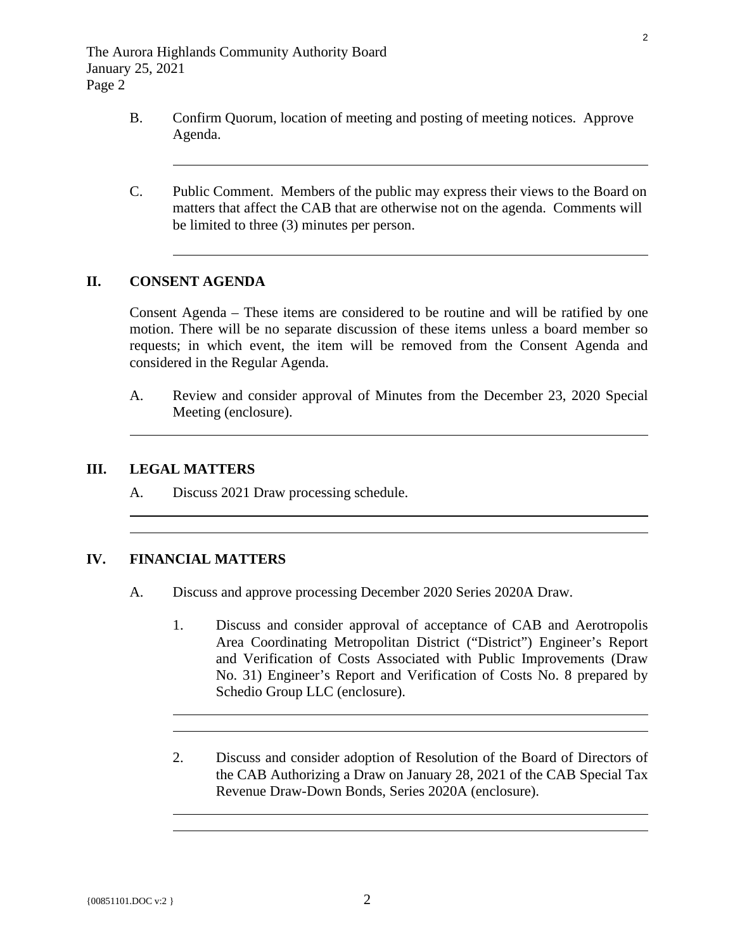- B. Confirm Quorum, location of meeting and posting of meeting notices. Approve Agenda.
- C. Public Comment. Members of the public may express their views to the Board on matters that affect the CAB that are otherwise not on the agenda. Comments will be limited to three (3) minutes per person.

# **II. CONSENT AGENDA**

 $\overline{a}$ 

 $\overline{a}$ 

Consent Agenda – These items are considered to be routine and will be ratified by one motion. There will be no separate discussion of these items unless a board member so requests; in which event, the item will be removed from the Consent Agenda and considered in the Regular Agenda.

A. [Review and consider approval of Minutes from the](#page-3-0) December 23, 2020 Special Meeting (enclosure).

### **III. LEGAL MATTERS**

 $\overline{a}$ 

 $\overline{a}$ 

A. Discuss 2021 Draw processing schedule.

#### **IV. FINANCIAL MATTERS**

 $\overline{a}$ 

 $\overline{a}$ 

- A. Discuss and approve processing December 2020 Series 2020A Draw.
	- [1. Discuss and consider approval of acceptance of CAB and Aerotropolis](#page-8-0)  Area Coordinating Metropolitan District ("District") Engineer's Report and Verification of Costs Associated with Public Improvements (Draw No. 31) Engineer's Report and Verification of Costs No. 8 prepared by Schedio Group LLC (enclosure).
	- 2. [Discuss and consider adoption of Resolution of the Board of Directors of](#page-20-0)  the CAB Authorizing a Draw on January 28, 2021 of the CAB Special Tax Revenue Draw-Down Bonds, Series 2020A (enclosure).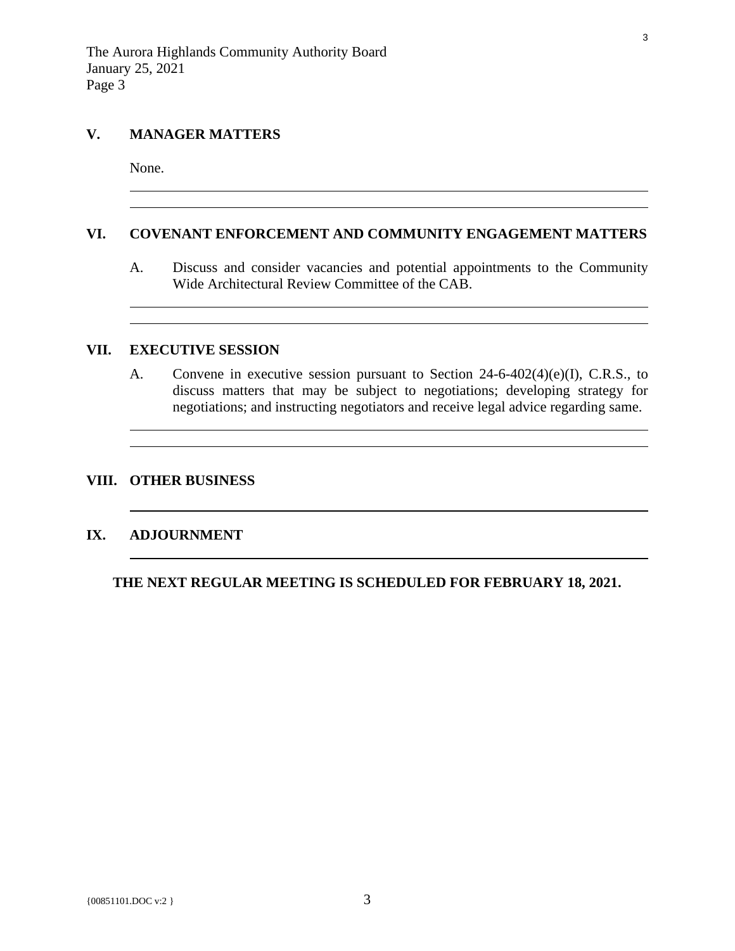# **V. MANAGER MATTERS**

None.

 $\overline{a}$ 

# **VI. COVENANT ENFORCEMENT AND COMMUNITY ENGAGEMENT MATTERS**

A. Discuss and consider vacancies and potential appointments to the Community Wide Architectural Review Committee of the CAB.

<u> 1989 - Johann Stoff, amerikansk politiker (d. 1989)</u>

## **VII. EXECUTIVE SESSION**

A. Convene in executive session pursuant to Section 24-6-402(4)(e)(I), C.R.S., to discuss matters that may be subject to negotiations; developing strategy for negotiations; and instructing negotiators and receive legal advice regarding same.

#### **VIII. OTHER BUSINESS**

# **IX. ADJOURNMENT**

 $\overline{a}$ 

**THE NEXT REGULAR MEETING IS SCHEDULED FOR FEBRUARY 18, 2021.**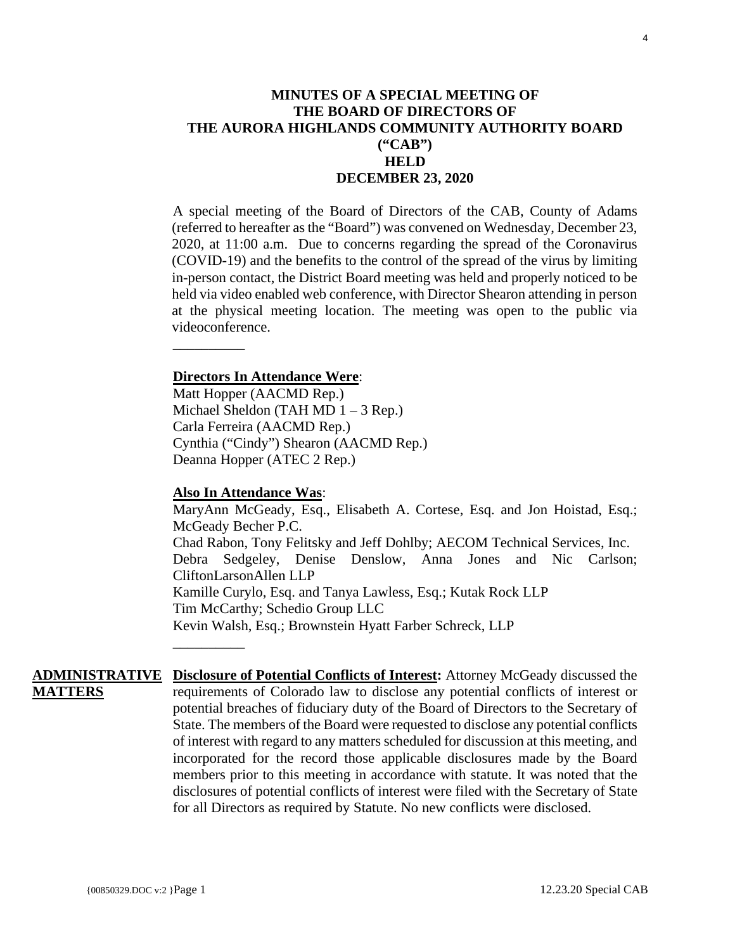<span id="page-3-0"></span>A special meeting of the Board of Directors of the CAB, County of Adams (referred to hereafter as the "Board") was convened on Wednesday, December 23, 2020, at 11:00 a.m. Due to concerns regarding the spread of the Coronavirus (COVID-19) and the benefits to the control of the spread of the virus by limiting in-person contact, the District Board meeting was held and properly noticed to be held via video enabled web conference, with Director Shearon attending in person at the physical meeting location. The meeting was open to the public via videoconference.

# **Directors In Attendance Were**:

\_\_\_\_\_\_\_\_\_\_

\_\_\_\_\_\_\_\_\_\_

Matt Hopper (AACMD Rep.) Michael Sheldon (TAH MD 1 – 3 Rep.) Carla Ferreira (AACMD Rep.) Cynthia ("Cindy") Shearon (AACMD Rep.) Deanna Hopper (ATEC 2 Rep.)

# **Also In Attendance Was**:

MaryAnn McGeady, Esq., Elisabeth A. Cortese, Esq. and Jon Hoistad, Esq.; McGeady Becher P.C. Chad Rabon, Tony Felitsky and Jeff Dohlby; AECOM Technical Services, Inc. Debra Sedgeley, Denise Denslow, Anna Jones and Nic Carlson; CliftonLarsonAllen LLP Kamille Curylo, Esq. and Tanya Lawless, Esq.; Kutak Rock LLP Tim McCarthy; Schedio Group LLC Kevin Walsh, Esq.; Brownstein Hyatt Farber Schreck, LLP

**ADMINISTRATIVE Disclosure of Potential Conflicts of Interest:** Attorney McGeady discussed the **MATTERS** requirements of Colorado law to disclose any potential conflicts of interest or potential breaches of fiduciary duty of the Board of Directors to the Secretary of State. The members of the Board were requested to disclose any potential conflicts of interest with regard to any matters scheduled for discussion at this meeting, and incorporated for the record those applicable disclosures made by the Board members prior to this meeting in accordance with statute. It was noted that the disclosures of potential conflicts of interest were filed with the Secretary of State for all Directors as required by Statute. No new conflicts were disclosed.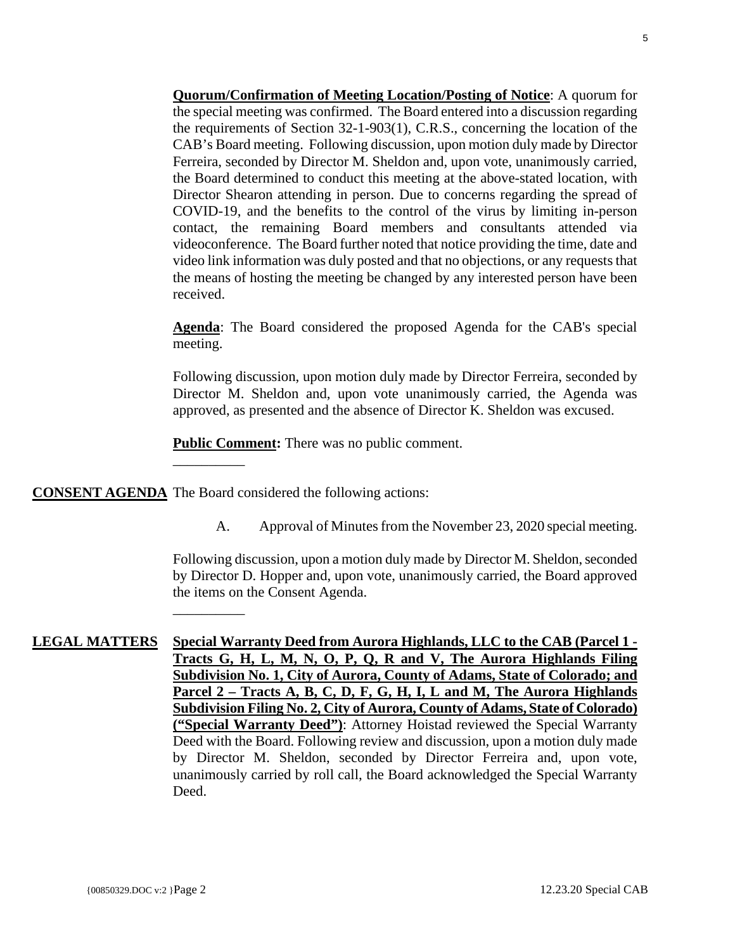**Quorum/Confirmation of Meeting Location/Posting of Notice**: A quorum for the special meeting was confirmed. The Board entered into a discussion regarding the requirements of Section 32-1-903(1), C.R.S., concerning the location of the CAB's Board meeting. Following discussion, upon motion duly made by Director Ferreira, seconded by Director M. Sheldon and, upon vote, unanimously carried, the Board determined to conduct this meeting at the above-stated location, with Director Shearon attending in person. Due to concerns regarding the spread of COVID-19, and the benefits to the control of the virus by limiting in-person contact, the remaining Board members and consultants attended via videoconference. The Board further noted that notice providing the time, date and video link information was duly posted and that no objections, or any requests that the means of hosting the meeting be changed by any interested person have been received.

**Agenda**: The Board considered the proposed Agenda for the CAB's special meeting.

Following discussion, upon motion duly made by Director Ferreira, seconded by Director M. Sheldon and, upon vote unanimously carried, the Agenda was approved, as presented and the absence of Director K. Sheldon was excused.

**Public Comment:** There was no public comment.

**CONSENT AGENDA** The Board considered the following actions:

\_\_\_\_\_\_\_\_\_\_

\_\_\_\_\_\_\_\_\_\_

A. Approval of Minutes from the November 23, 2020 special meeting.

Following discussion, upon a motion duly made by Director M. Sheldon, seconded by Director D. Hopper and, upon vote, unanimously carried, the Board approved the items on the Consent Agenda.

**LEGAL MATTERS Special Warranty Deed from Aurora Highlands, LLC to the CAB (Parcel 1 - Tracts G, H, L, M, N, O, P, Q, R and V, The Aurora Highlands Filing Subdivision No. 1, City of Aurora, County of Adams, State of Colorado; and Parcel 2 – Tracts A, B, C, D, F, G, H, I, L and M, The Aurora Highlands Subdivision Filing No. 2, City of Aurora, County of Adams, State of Colorado) ("Special Warranty Deed")**: Attorney Hoistad reviewed the Special Warranty Deed with the Board. Following review and discussion, upon a motion duly made by Director M. Sheldon, seconded by Director Ferreira and, upon vote, unanimously carried by roll call, the Board acknowledged the Special Warranty Deed.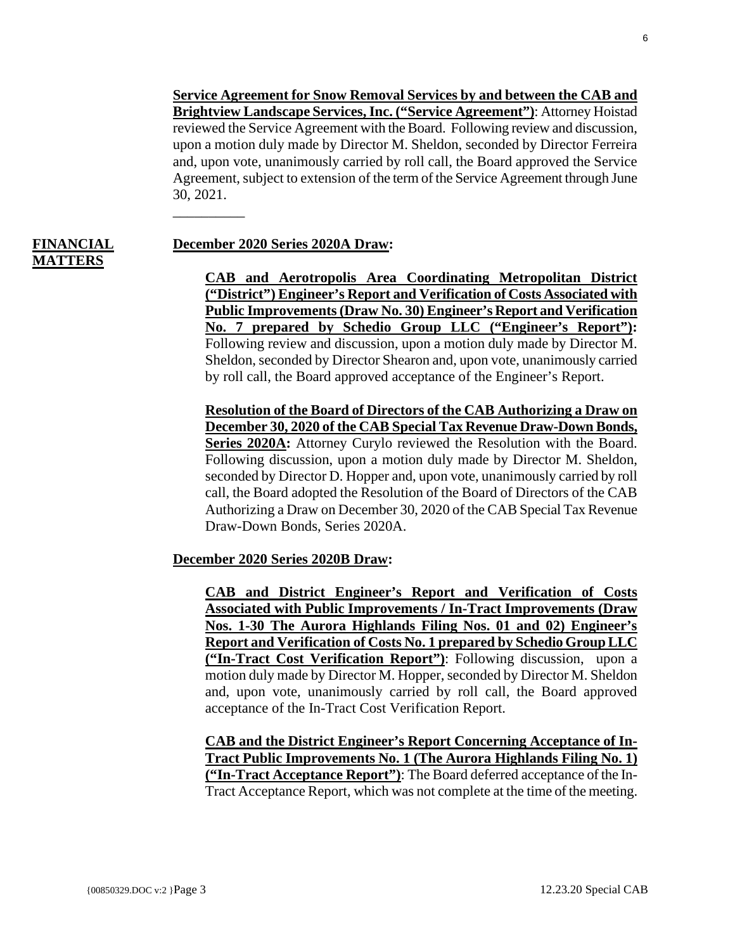**Service Agreement for Snow Removal Services by and between the CAB and Brightview Landscape Services, Inc. ("Service Agreement")**: Attorney Hoistad reviewed the Service Agreement with the Board. Following review and discussion, upon a motion duly made by Director M. Sheldon, seconded by Director Ferreira and, upon vote, unanimously carried by roll call, the Board approved the Service Agreement, subject to extension of the term of the Service Agreement through June 30, 2021. \_\_\_\_\_\_\_\_\_\_

# **FINANCIAL MATTERS**

# **December 2020 Series 2020A Draw:**

**CAB and Aerotropolis Area Coordinating Metropolitan District ("District") Engineer's Report and Verification of Costs Associated with Public Improvements (Draw No. 30) Engineer's Report and Verification No. 7 prepared by Schedio Group LLC ("Engineer's Report"):** Following review and discussion, upon a motion duly made by Director M. Sheldon, seconded by Director Shearon and, upon vote, unanimously carried by roll call, the Board approved acceptance of the Engineer's Report.

**Resolution of the Board of Directors of the CAB Authorizing a Draw on December 30, 2020 of the CAB Special Tax Revenue Draw-Down Bonds, Series 2020A:** Attorney Curylo reviewed the Resolution with the Board. Following discussion, upon a motion duly made by Director M. Sheldon, seconded by Director D. Hopper and, upon vote, unanimously carried by roll call, the Board adopted the Resolution of the Board of Directors of the CAB Authorizing a Draw on December 30, 2020 of the CAB Special Tax Revenue Draw-Down Bonds, Series 2020A.

#### **December 2020 Series 2020B Draw:**

**CAB and District Engineer's Report and Verification of Costs Associated with Public Improvements / In-Tract Improvements (Draw Nos. 1-30 The Aurora Highlands Filing Nos. 01 and 02) Engineer's Report and Verification of Costs No. 1 prepared by Schedio Group LLC ("In-Tract Cost Verification Report")**: Following discussion, upon a motion duly made by Director M. Hopper, seconded by Director M. Sheldon and, upon vote, unanimously carried by roll call, the Board approved acceptance of the In-Tract Cost Verification Report.

**CAB and the District Engineer's Report Concerning Acceptance of In-Tract Public Improvements No. 1 (The Aurora Highlands Filing No. 1) ("In-Tract Acceptance Report")**: The Board deferred acceptance of the In-Tract Acceptance Report, which was not complete at the time of the meeting.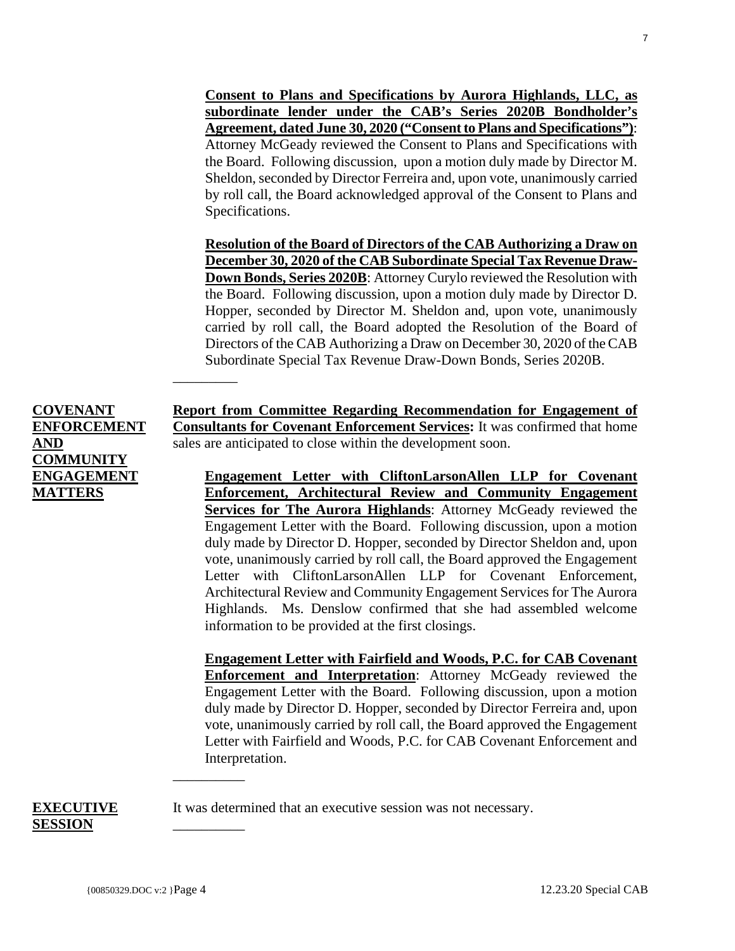**Consent to Plans and Specifications by Aurora Highlands, LLC, as subordinate lender under the CAB's Series 2020B Bondholder's Agreement, dated June 30, 2020 ("Consent to Plans and Specifications")**: Attorney McGeady reviewed the Consent to Plans and Specifications with the Board. Following discussion, upon a motion duly made by Director M. Sheldon, seconded by Director Ferreira and, upon vote, unanimously carried by roll call, the Board acknowledged approval of the Consent to Plans and Specifications.

**Resolution of the Board of Directors of the CAB Authorizing a Draw on December 30, 2020 of the CAB Subordinate Special Tax Revenue Draw-Down Bonds, Series 2020B**: Attorney Curylo reviewed the Resolution with the Board. Following discussion, upon a motion duly made by Director D. Hopper, seconded by Director M. Sheldon and, upon vote, unanimously carried by roll call, the Board adopted the Resolution of the Board of Directors of the CAB Authorizing a Draw on December 30, 2020 of the CAB Subordinate Special Tax Revenue Draw-Down Bonds, Series 2020B.

**COVENANT ENFORCEMENT AND COMMUNITY ENGAGEMENT MATTERS**

 $\overline{\phantom{a}}$  , where  $\overline{\phantom{a}}$ 

\_\_\_\_\_\_\_\_\_\_

\_\_\_\_\_\_\_\_\_\_

**Report from Committee Regarding Recommendation for Engagement of Consultants for Covenant Enforcement Services:** It was confirmed that home sales are anticipated to close within the development soon.

**Engagement Letter with CliftonLarsonAllen LLP for Covenant Enforcement, Architectural Review and Community Engagement Services for The Aurora Highlands**: Attorney McGeady reviewed the Engagement Letter with the Board. Following discussion, upon a motion duly made by Director D. Hopper, seconded by Director Sheldon and, upon vote, unanimously carried by roll call, the Board approved the Engagement Letter with CliftonLarsonAllen LLP for Covenant Enforcement, Architectural Review and Community Engagement Services for The Aurora Highlands. Ms. Denslow confirmed that she had assembled welcome information to be provided at the first closings.

**Engagement Letter with Fairfield and Woods, P.C. for CAB Covenant Enforcement and Interpretation**: Attorney McGeady reviewed the Engagement Letter with the Board. Following discussion, upon a motion duly made by Director D. Hopper, seconded by Director Ferreira and, upon vote, unanimously carried by roll call, the Board approved the Engagement Letter with Fairfield and Woods, P.C. for CAB Covenant Enforcement and Interpretation.

It was determined that an executive session was not necessary.

**EXECUTIVE**

**SESSION**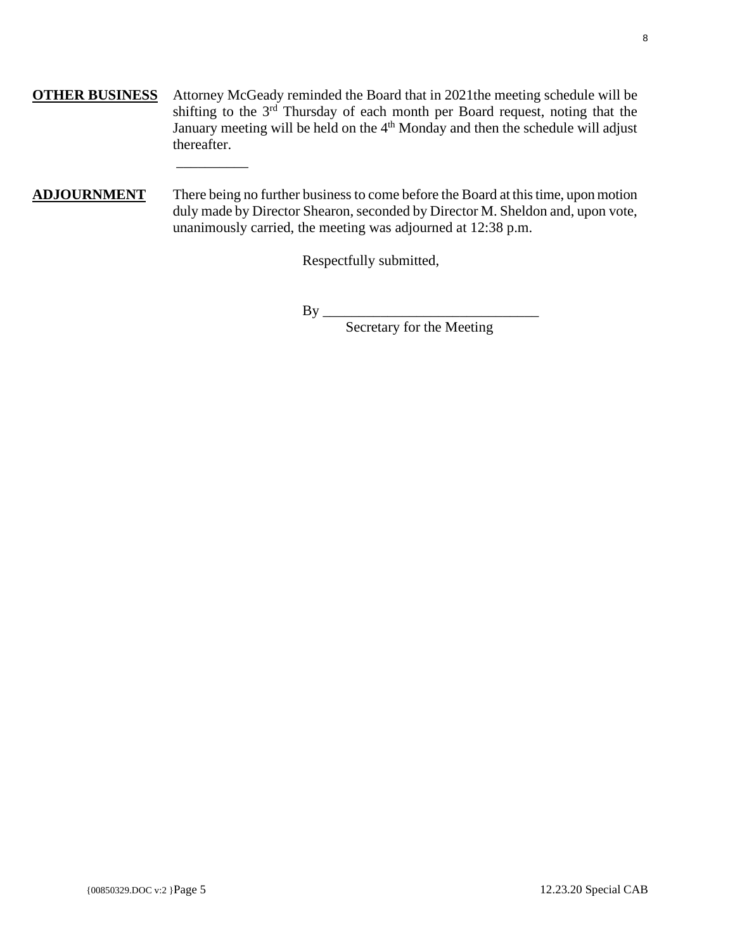- **OTHER BUSINESS** Attorney McGeady reminded the Board that in 2021the meeting schedule will be shifting to the  $3<sup>rd</sup>$  Thursday of each month per Board request, noting that the January meeting will be held on the  $4<sup>th</sup>$  Monday and then the schedule will adjust thereafter.
- **ADJOURNMENT** There being no further business to come before the Board at this time, upon motion duly made by Director Shearon, seconded by Director M. Sheldon and, upon vote, unanimously carried, the meeting was adjourned at 12:38 p.m.

Respectfully submitted,

By \_\_\_\_\_\_\_\_\_\_\_\_\_\_\_\_\_\_\_\_\_\_\_\_\_\_\_\_\_\_

\_\_\_\_\_\_\_\_\_\_

Secretary for the Meeting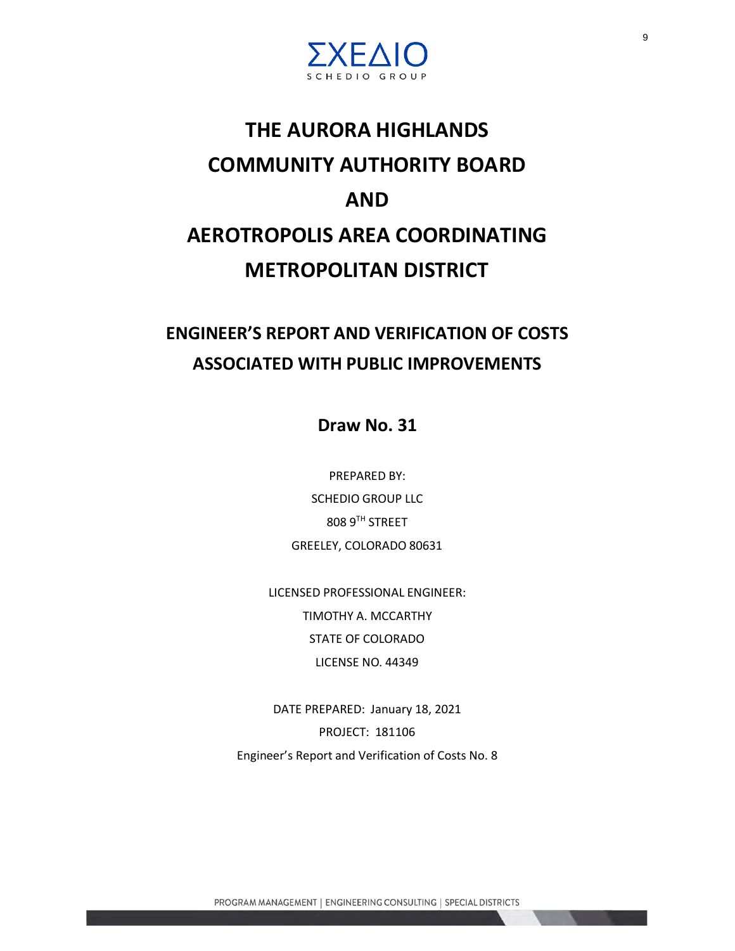

# <span id="page-8-0"></span>**THE AURORA HIGHLANDS COMMUNITY AUTHORITY BOARD AND AEROTROPOLIS AREA COORDINATING METROPOLITAN DISTRICT**

# **ENGINEER'S REPORT AND VERIFICATION OF COSTS ASSOCIATED WITH PUBLIC IMPROVEMENTS**

**Draw No. 31**

PREPARED BY: SCHEDIO GROUP LLC 808 9TH STREET GREELEY, COLORADO 80631

LICENSED PROFESSIONAL ENGINEER: TIMOTHY A. MCCARTHY STATE OF COLORADO LICENSE NO. 44349

DATE PREPARED: January 18, 2021 PROJECT: 181106 Engineer's Report and Verification of Costs No. 8

PROGRAM MANAGEMENT | ENGINEERING CONSULTING | SPECIAL DISTRICTS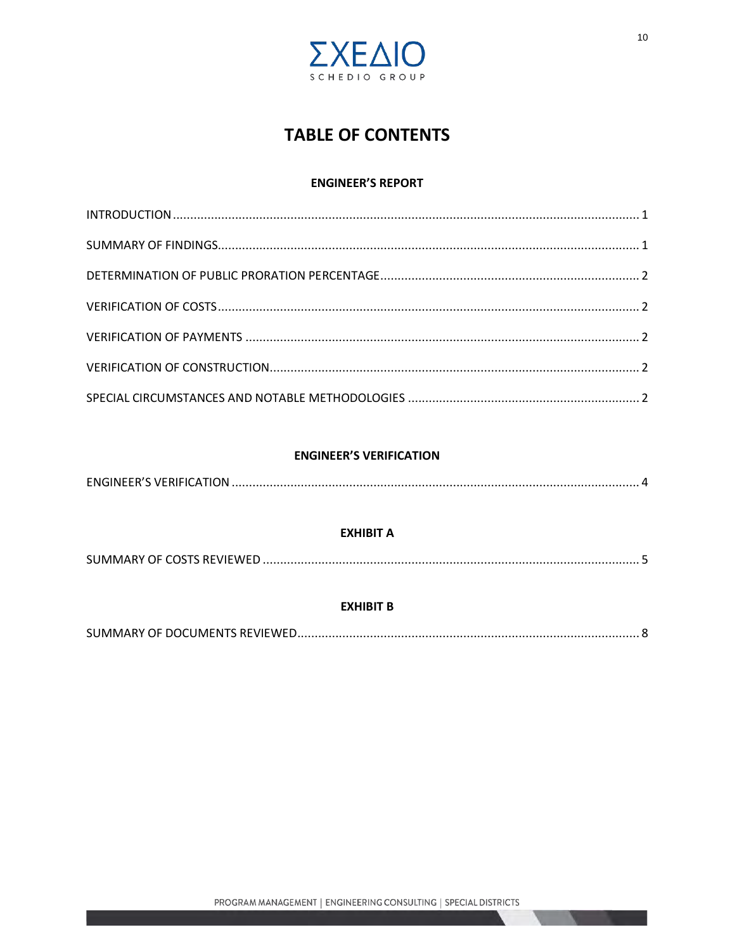

# **TABLE OF CONTENTS**

### **ENGINEER'S REPORT**

### **ENGINEER'S VERIFICATION**

| <b>EXHIBIT A</b> |  |
|------------------|--|
|                  |  |
| <b>EXHIBIT B</b> |  |
|                  |  |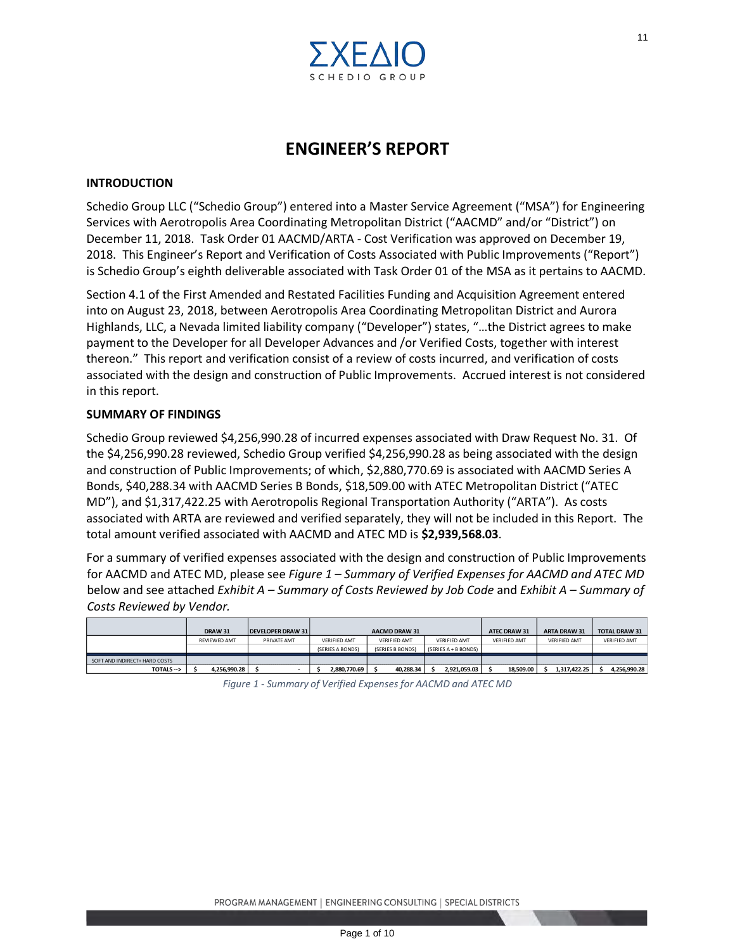

# **ENGINEER'S REPORT**

#### **INTRODUCTION**

Schedio Group LLC ("Schedio Group") entered into a Master Service Agreement ("MSA") for Engineering Services with Aerotropolis Area Coordinating Metropolitan District ("AACMD" and/or "District") on December 11, 2018. Task Order 01 AACMD/ARTA - Cost Verification was approved on December 19, 2018. This Engineer's Report and Verification of Costs Associated with Public Improvements ("Report") is Schedio Group's eighth deliverable associated with Task Order 01 of the MSA as it pertains to AACMD.

Section 4.1 of the First Amended and Restated Facilities Funding and Acquisition Agreement entered into on August 23, 2018, between Aerotropolis Area Coordinating Metropolitan District and Aurora Highlands, LLC, a Nevada limited liability company ("Developer") states, "…the District agrees to make payment to the Developer for all Developer Advances and /or Verified Costs, together with interest thereon." This report and verification consist of a review of costs incurred, and verification of costs associated with the design and construction of Public Improvements. Accrued interest is not considered in this report. FIRENCE CONSULTER THE MANUAL SERVICE AND SERVICE CONSULTER THE SPACING THE SPACING THE SPACING THE SPACING THE SPACING THAT A COST Verfinding and Accordination With Task Order 01 of the MSA as it pertains to AACMD.<br>The Cos

#### **SUMMARY OF FINDINGS**

Schedio Group reviewed \$4,256,990.28 of incurred expenses associated with Draw Request No. 31. Of the \$4,256,990.28 reviewed, Schedio Group verified \$4,256,990.28 as being associated with the design and construction of Public Improvements; of which, \$2,880,770.69 is associated with AACMD Series A Bonds, \$40,288.34 with AACMD Series B Bonds, \$18,509.00 with ATEC Metropolitan District ("ATEC MD"), and \$1,317,422.25 with Aerotropolis Regional Transportation Authority ("ARTA"). As costs associated with ARTA are reviewed and verified separately, they will not be included in this Report. The total amount verified associated with AACMD and ATEC MD is **\$2,939,568.03**.

For a summary of verified expenses associated with the design and construction of Public Improvements for AACMD and ATEC MD, please see *Figure 1 – Summary of Verified Expenses for AACMD and ATEC MD* below and see attached *Exhibit A – Summary of Costs Reviewed by Job Code* and *Exhibit A – Summary of Costs Reviewed by Vendor.*

|                               | DRAW 31      | <b>DEVELOPER DRAW 31</b> |                     | <b>AACMD DRAW 31</b> |                      | <b>ATEC DRAW 31</b> | <b>ARTA DRAW 31</b> | <b>TOTAL DRAW 31</b> |
|-------------------------------|--------------|--------------------------|---------------------|----------------------|----------------------|---------------------|---------------------|----------------------|
|                               | REVIEWED AMT | PRIVATE AMT              | <b>VERIFIED AMT</b> | <b>VERIFIED AMT</b>  | <b>VERIFIED AMT</b>  | <b>VERIFIED AMT</b> | <b>VERIFIED AMT</b> | <b>VERIFIED AMT</b>  |
|                               |              |                          | (SERIES A BONDS)    | (SERIES B BONDS)     | (SERIES A + B BONDS) |                     |                     |                      |
| SOFT AND INDIRECT+ HARD COSTS |              |                          |                     |                      |                      |                     |                     |                      |
| TOTALS -->                    | 4.256.990.28 |                          | 2.880.770.69        | 40.288.34            | 2.921.059.03         | 18.509.00           | 1.317.422.25        | 4.256.990.28         |

*Figure 1 - Summary of Verified Expenses for AACMD and ATEC MD*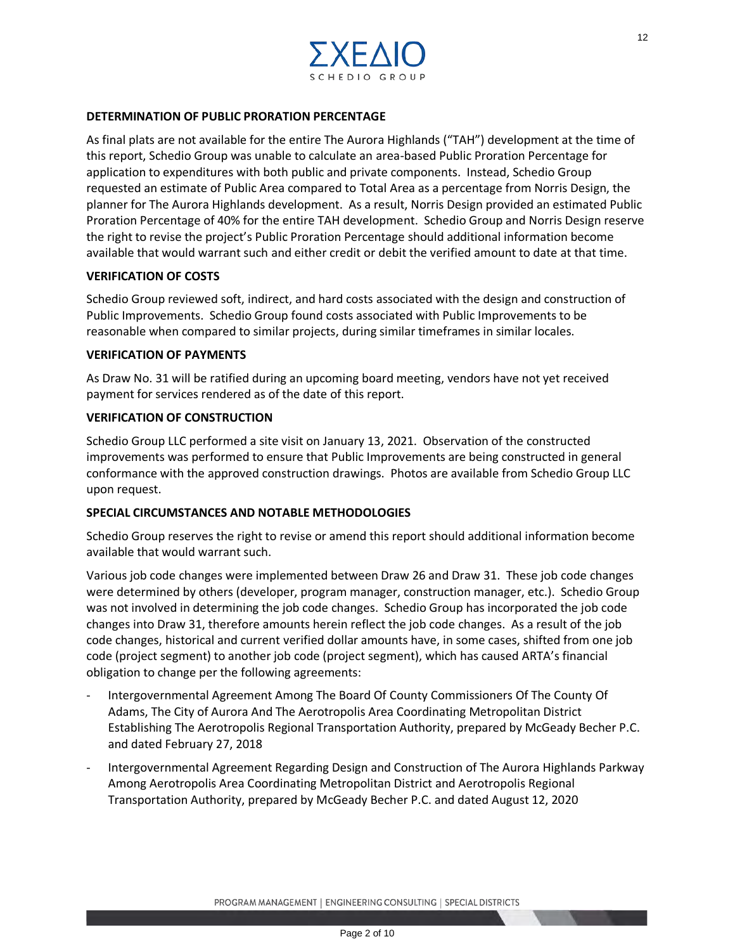

#### **DETERMINATION OF PUBLIC PRORATION PERCENTAGE**

As final plats are not available for the entire The Aurora Highlands ("TAH") development at the time of this report, Schedio Group was unable to calculate an area-based Public Proration Percentage for application to expenditures with both public and private components. Instead, Schedio Group requested an estimate of Public Area compared to Total Area as a percentage from Norris Design, the planner for The Aurora Highlands development. As a result, Norris Design provided an estimated Public Proration Percentage of 40% for the entire TAH development. Schedio Group and Norris Design reserve the right to revise the project's Public Proration Percentage should additional information become available that would warrant such and either credit or debit the verified amount to date at that time. <sup>172</sup><br>  $\mathbb{E} \mathbb{E} \bigotimes \mathbb{E} \bigotimes \mathbb{E} \bigotimes \mathbb{E} \bigotimes \mathbb{E} \bigotimes \mathbb{E} \bigotimes \mathbb{E} \bigotimes \mathbb{E} \bigotimes \mathbb{E} \bigotimes \mathbb{E} \bigotimes \mathbb{E} \bigotimes \mathbb{E} \bigotimes \mathbb{E} \bigotimes \mathbb{E} \bigotimes \mathbb{E} \bigotimes \mathbb{E} \bigotimes \mathbb{E} \bigotimes \mathbb{E} \bigotimes \mathbb{E} \bigotimes \mathbb{E} \bigotimes \mathbb{E} \$ 

#### **VERIFICATION OF COSTS**

Schedio Group reviewed soft, indirect, and hard costs associated with the design and construction of Public Improvements. Schedio Group found costs associated with Public Improvements to be reasonable when compared to similar projects, during similar timeframes in similar locales.

#### **VERIFICATION OF PAYMENTS**

As Draw No. 31 will be ratified during an upcoming board meeting, vendors have not yet received payment for services rendered as of the date of this report.

#### **VERIFICATION OF CONSTRUCTION**

Schedio Group LLC performed a site visit on January 13, 2021. Observation of the constructed improvements was performed to ensure that Public Improvements are being constructed in general conformance with the approved construction drawings. Photos are available from Schedio Group LLC upon request.

#### **SPECIAL CIRCUMSTANCES AND NOTABLE METHODOLOGIES**

Schedio Group reserves the right to revise or amend this report should additional information become available that would warrant such.

Various job code changes were implemented between Draw 26 and Draw 31. These job code changes were determined by others (developer, program manager, construction manager, etc.). Schedio Group was not involved in determining the job code changes. Schedio Group has incorporated the job code changes into Draw 31, therefore amounts herein reflect the job code changes. As a result of the job code changes, historical and current verified dollar amounts have, in some cases, shifted from one job code (project segment) to another job code (project segment), which has caused ARTA's financial obligation to change per the following agreements:

- Intergovernmental Agreement Among The Board Of County Commissioners Of The County Of Adams, The City of Aurora And The Aerotropolis Area Coordinating Metropolitan District Establishing The Aerotropolis Regional Transportation Authority, prepared by McGeady Becher P.C. and dated February 27, 2018
- Intergovernmental Agreement Regarding Design and Construction of The Aurora Highlands Parkway Among Aerotropolis Area Coordinating Metropolitan District and Aerotropolis Regional Transportation Authority, prepared by McGeady Becher P.C. and dated August 12, 2020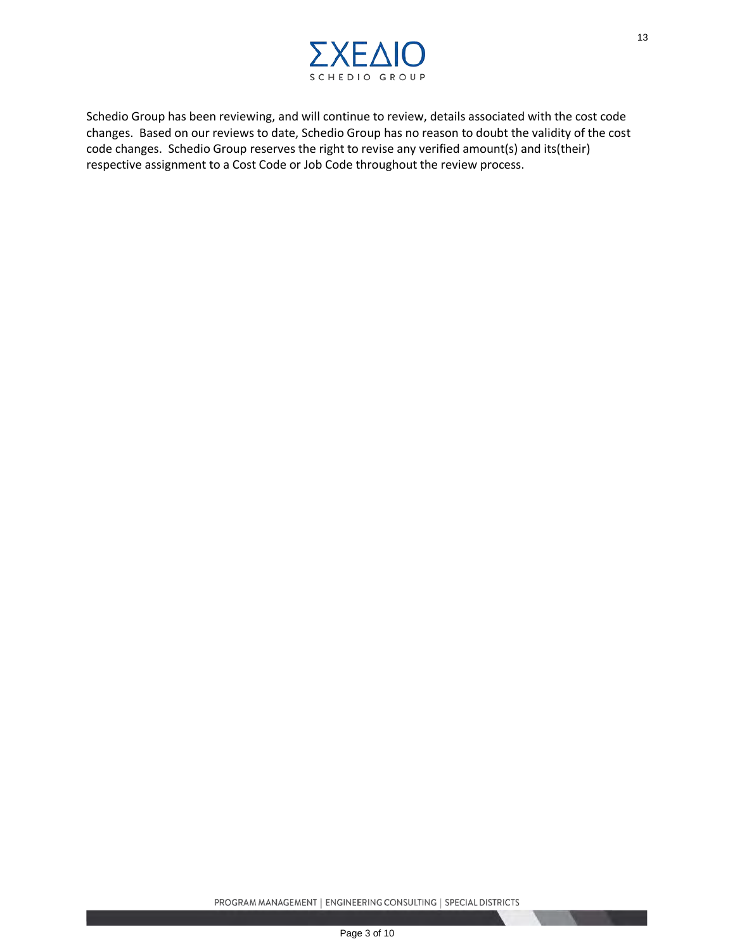

Schedio Group has been reviewing, and will continue to review, details associated with the cost code changes. Based on our reviews to date, Schedio Group has no reason to doubt the validity of the cost code changes. Schedio Group reserves the right to revise any verified amount(s) and its(their) respective assignment to a Cost Code or Job Code throughout the review process. SET ON THE SERVICE SERVICE SERVICE SERVICE SERVICE SERVICE SERVICE OF STOLE OF STOLE OF STOLE OF STOLE OF STOLE OF STOLE OF STOLE OF STOLE OF STOLE OF STOLE OF STOLE OF STOLE OF STOLE OF STOLE OF STOLE OF STOLE OF STOLE OF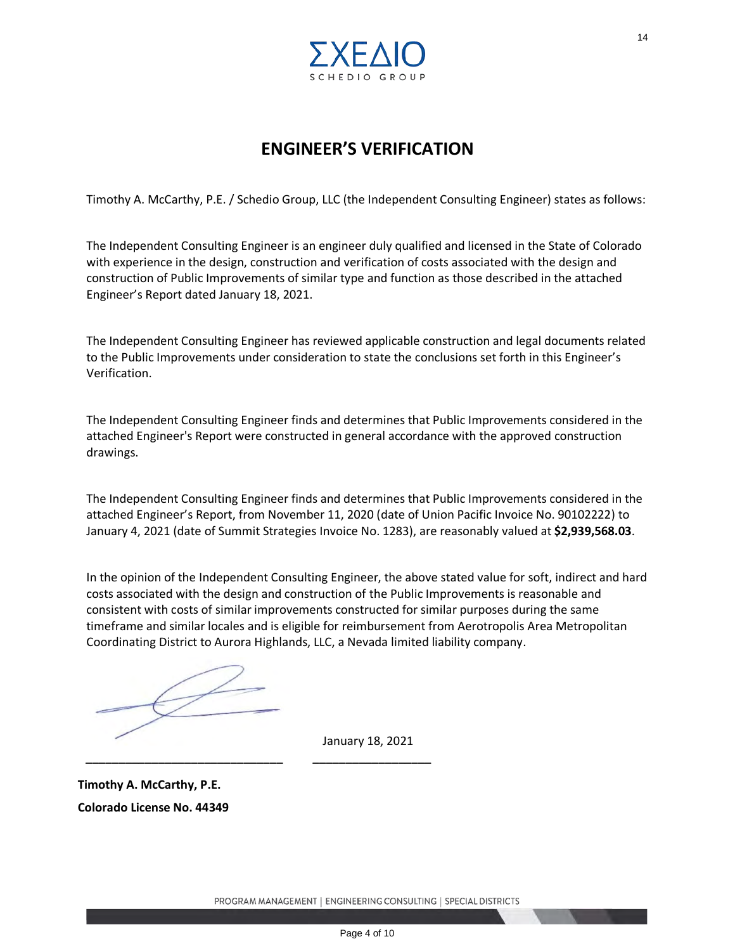

# **ENGINEER'S VERIFICATION**

Timothy A. McCarthy, P.E. / Schedio Group, LLC (the Independent Consulting Engineer) states as follows:

The Independent Consulting Engineer is an engineer duly qualified and licensed in the State of Colorado with experience in the design, construction and verification of costs associated with the design and construction of Public Improvements of similar type and function as those described in the attached Engineer's Report dated January 18, 2021.

The Independent Consulting Engineer has reviewed applicable construction and legal documents related to the Public Improvements under consideration to state the conclusions set forth in this Engineer's Verification.

The Independent Consulting Engineer finds and determines that Public Improvements considered in the attached Engineer's Report were constructed in general accordance with the approved construction drawings.

The Independent Consulting Engineer finds and determines that Public Improvements considered in the attached Engineer's Report, from November 11, 2020 (date of Union Pacific Invoice No. 90102222) to January 4, 2021 (date of Summit Strategies Invoice No. 1283), are reasonably valued at **\$2,939,568.03**.

In the opinion of the Independent Consulting Engineer, the above stated value for soft, indirect and hard costs associated with the design and construction of the Public Improvements is reasonable and consistent with costs of similar improvements constructed for similar purposes during the same timeframe and similar locales and is eligible for reimbursement from Aerotropolis Area Metropolitan Coordinating District to Aurora Highlands, LLC, a Nevada limited liability company. <sup>14</sup><br>
Page 10 0 6 R o U P<br>
Page 4 of 10<br>
C **VERIFICATION**<br>
(the Independent Consulting Engineer) states as follows:<br>
inner duly qualified and licensed in the State of Colorado<br>
verification of costs associated with the de

**\_\_\_\_\_\_\_\_\_\_\_\_\_\_\_\_\_\_\_\_\_\_\_\_\_\_\_\_\_\_ \_\_\_\_\_\_\_\_\_\_\_\_\_\_\_\_\_\_**

January 18, 2021

**Timothy A. McCarthy, P.E. Colorado License No. 44349**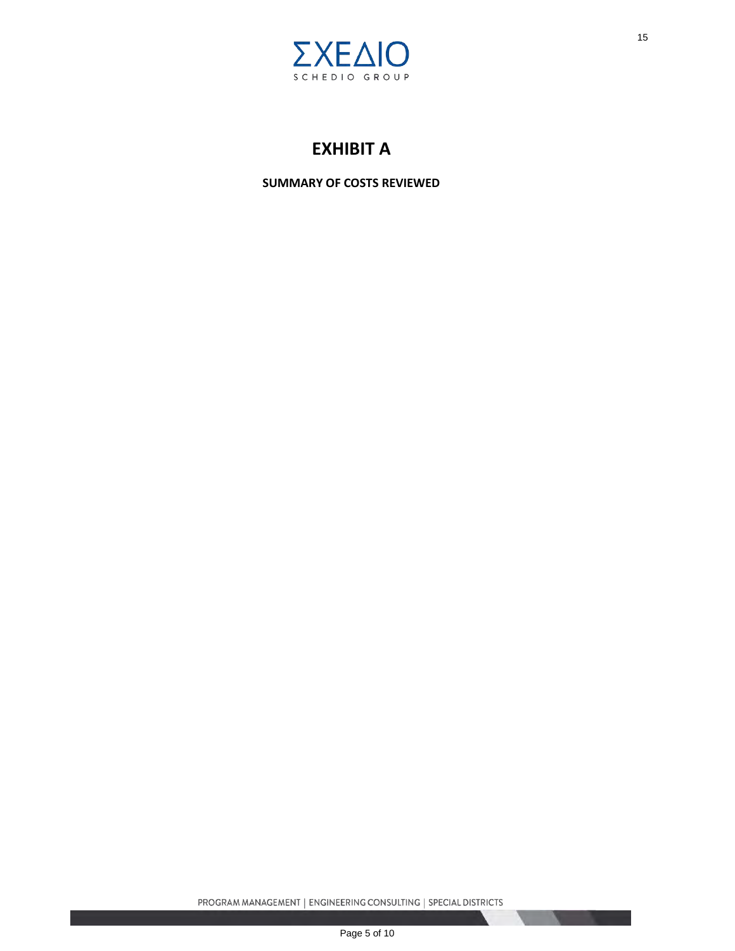

# **EXHIBIT A**

**SUMMARY OF COSTS REVIEWED**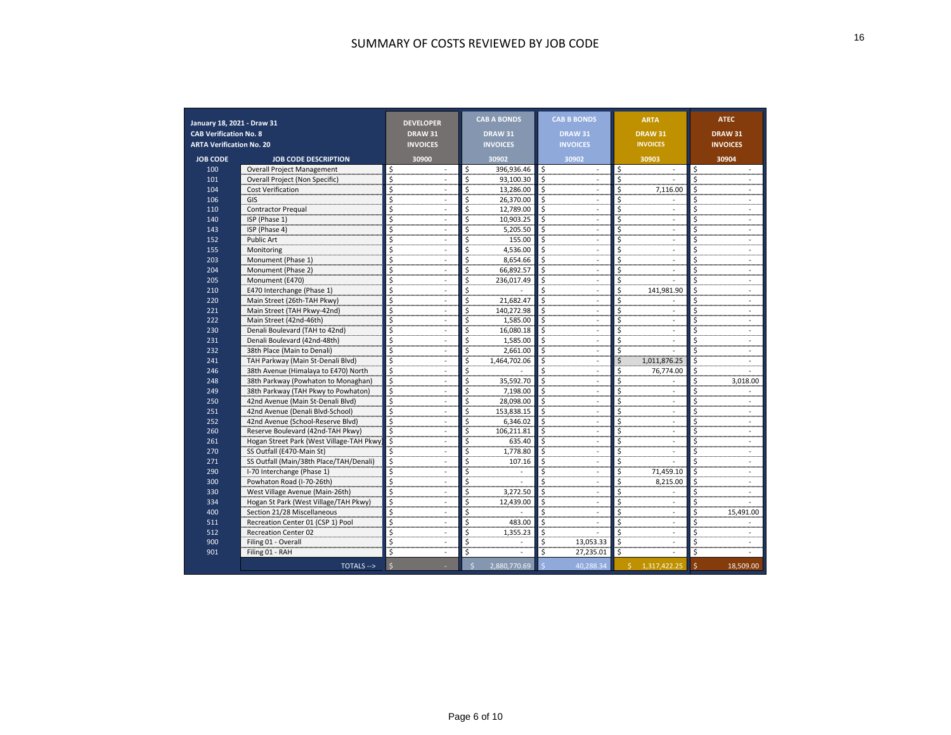| January 18, 2021 - Draw 31      |                                           | <b>DEVELOPER</b>                   | <b>CAB A BONDS</b> | <b>CAB B BONDS</b> | <b>ARTA</b>     | <b>ATEC</b>                     |
|---------------------------------|-------------------------------------------|------------------------------------|--------------------|--------------------|-----------------|---------------------------------|
| <b>CAB Verification No. 8</b>   |                                           | <b>DRAW 31</b>                     | <b>DRAW 31</b>     | <b>DRAW 31</b>     | <b>DRAW 31</b>  | <b>DRAW 31</b>                  |
| <b>ARTA Verification No. 20</b> |                                           | <b>INVOICES</b><br><b>INVOICES</b> |                    | <b>INVOICES</b>    | <b>INVOICES</b> | <b>INVOICES</b>                 |
| <b>JOB CODE</b>                 | <b>JOB CODE DESCRIPTION</b>               | 30900                              | 30902              | 30902              | 30903           | 30904                           |
| 100                             | <b>Overall Project Management</b>         | Ś                                  | \$<br>396,936.46   |                    | \$              | \$                              |
| 101                             | Overall Project (Non Specific)            |                                    | 93,100.30          | \$.<br>Ś           |                 |                                 |
| 104                             | <b>Cost Verification</b>                  |                                    | 13,286.00          | Ś                  | 7,116.00        |                                 |
| 106                             | GIS                                       |                                    | 26,370.00          | \$                 |                 |                                 |
| 110                             | <b>Contractor Pregual</b>                 |                                    | 12,789.00          |                    |                 |                                 |
| 140                             | ISP (Phase 1)                             |                                    | 10,903.25          | \$                 |                 |                                 |
| 143                             | ISP (Phase 4)                             |                                    | 5,205.50           | Ś                  |                 |                                 |
| 152                             | Public Art                                |                                    | 155.00             |                    |                 |                                 |
| 155                             | Monitoring                                |                                    | 4.536.00           | Ś.                 |                 |                                 |
| 203                             | Monument (Phase 1)                        |                                    | 8,654.66           |                    |                 |                                 |
| 204                             | Monument (Phase 2)                        |                                    | 66,892.57          |                    |                 |                                 |
| 205                             | Monument (E470)                           |                                    | 236,017.49         | Ś                  |                 |                                 |
| 210                             | E470 Interchange (Phase 1)                |                                    |                    |                    | 141,981.90      |                                 |
| 220                             | Main Street (26th-TAH Pkwy)               |                                    | 21,682.47          | Ś                  |                 |                                 |
| 221                             | Main Street (TAH Pkwy-42nd)               |                                    | 140,272.98         |                    |                 |                                 |
| 222                             | Main Street (42nd-46th)                   |                                    | 1,585.00           |                    |                 |                                 |
| 230                             | Denali Boulevard (TAH to 42nd)            |                                    | 16,080.18          |                    |                 |                                 |
| 231                             | Denali Boulevard (42nd-48th)              |                                    | 1,585.00           | Ś                  |                 |                                 |
| 232                             | 38th Place (Main to Denali)               |                                    | 2,661.00           |                    |                 |                                 |
| 241                             | TAH Parkway (Main St-Denali Blvd)         |                                    | 1.464.702.06       | Ś                  | 1,011,876.25    |                                 |
| 246                             | 38th Avenue (Himalaya to E470) North      |                                    |                    |                    | 76,774.00       |                                 |
| 248                             | 38th Parkway (Powhaton to Monaghan)       |                                    | 35,592.70          |                    |                 | 3,018.00                        |
| 249                             | 38th Parkway (TAH Pkwy to Powhaton)       |                                    | 7,198.00           | \$                 |                 |                                 |
| 250                             | 42nd Avenue (Main St-Denali Blvd)         |                                    | 28,098.00          | Ś                  |                 |                                 |
| 251                             | 42nd Avenue (Denali Blvd-School)          |                                    | 153,838.15         |                    |                 |                                 |
| 252                             | 42nd Avenue (School-Reserve Blvd)         |                                    | 6,346.02           |                    |                 |                                 |
| 260                             | Reserve Boulevard (42nd-TAH Pkwy)         |                                    | 106,211.81         |                    |                 |                                 |
| 261                             | Hogan Street Park (West Village-TAH Pkwy) |                                    | 635.40             |                    |                 |                                 |
| 270                             | SS Outfall (E470-Main St)                 |                                    | 1,778.80           | Ŝ.                 |                 |                                 |
| 271                             | SS Outfall (Main/38th Place/TAH/Denali)   |                                    | 107.16             |                    |                 |                                 |
| 290                             | I-70 Interchange (Phase 1)                |                                    |                    | Ś                  | 71,459.10       |                                 |
| 300                             | Powhaton Road (I-70-26th)                 |                                    |                    |                    | 8,215.00        |                                 |
| 330                             | West Village Avenue (Main-26th)           |                                    | 3,272.50           |                    |                 |                                 |
| 334                             | Hogan St Park (West Village/TAH Pkwy)     |                                    | 12,439.00          | \$                 |                 |                                 |
| 400                             | Section 21/28 Miscellaneous               |                                    |                    |                    |                 | 15,491.00                       |
| 511                             | Recreation Center 01 (CSP 1) Pool         |                                    | 483.00             |                    |                 |                                 |
| 512                             | <b>Recreation Center 02</b>               |                                    | 1.355.23           |                    |                 |                                 |
| 900                             | Filing 01 - Overall                       |                                    |                    | \$<br>13,053.33    |                 |                                 |
| 901                             | Filing 01 - RAH                           |                                    | Ś                  | Ś<br>27,235.01     | \$              | Ś                               |
|                                 | TOTALS -->                                | $\zeta$                            | 2,880,770.69       | 40,288.34          | \$1,317,422.25  | $\mathsf{\hat{S}}$<br>18,509.00 |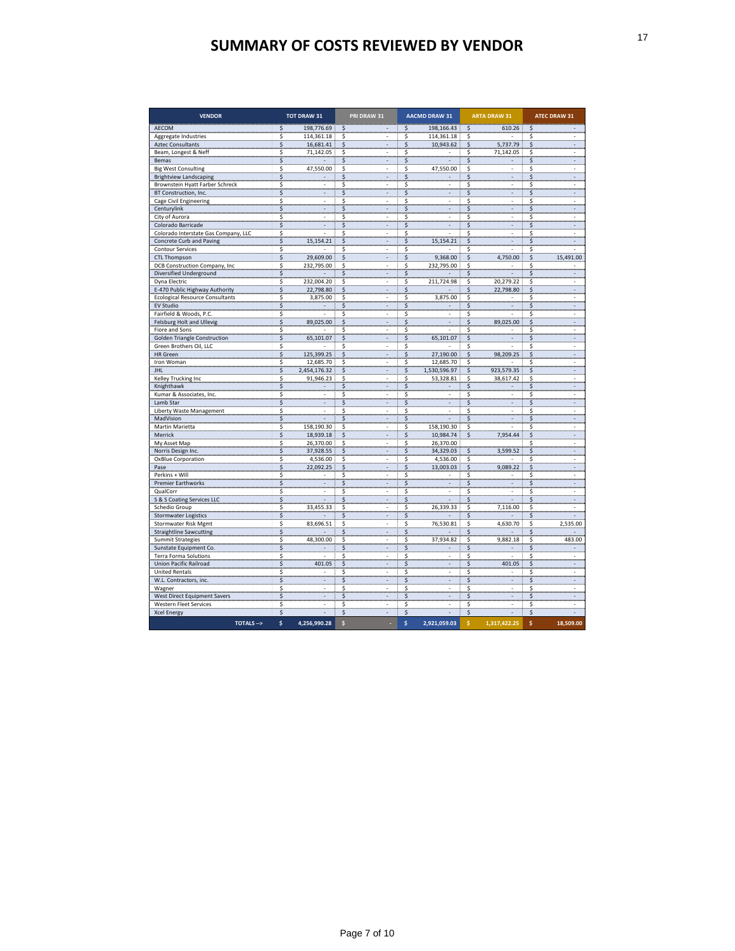| <b>VENDOR</b>                                                                             | <b>TOT DRAW 31</b>                          | PRI DRAW 31                     | <b>AACMD DRAW 31</b>                                   | <b>ARTA DRAW 31</b>                | <b>ATEC DRAW 31</b> |
|-------------------------------------------------------------------------------------------|---------------------------------------------|---------------------------------|--------------------------------------------------------|------------------------------------|---------------------|
| AECOM<br>Aggregate Industries<br>Aztec Consultants                                        | 198,776.69<br>\$<br>114,361.18<br>16,681.41 | \$<br>\$<br>Ś                   | 198,166.43<br>\$<br>114,361.18<br>\$<br>10,943.62<br>Ş | 610.26<br>5,737.79                 | \$<br>Ś             |
| Beam, Longest & Neff<br>Bemas                                                             | 71,142.05                                   |                                 | \$<br>Ş                                                | 71,142.05                          |                     |
| <b>Big West Consulting</b><br><b>Brightview Landscaping</b>                               | 47,550.00<br>Ś                              | Ś<br>Ś                          | 47,550.00<br>\$<br>\$                                  |                                    | \$                  |
| Brownstein Hyatt Farber Schreck<br>BT Construction, Inc.<br>Cage Civil Engineering        | \$                                          | - Ş<br>\$                       | \$<br>s<br>\$                                          |                                    | \$                  |
| Centurylink<br>City of Aurora                                                             | Ś<br>\$                                     |                                 |                                                        |                                    |                     |
| Colorado Barricade<br>Colorado Interstate Gas Company, LLO<br>Concrete Curb and Paving    | \$<br>15,154.21<br>Ş                        | . Ş<br>\$<br>\$                 | \$<br>15,154.21                                        |                                    | \$                  |
| <b>Contour Services</b><br><b>CTL Thompson</b>                                            | 29,609.00                                   | \$<br>\$                        | \$<br>9,368.00<br>\$                                   | 750.00<br>\$                       | \$<br>491.00        |
| DCB Construction Company, Inc<br>Diversified Underground                                  | 232,795.00<br>\$                            | Ŝ<br>\$<br>\$                   | 232,795.00<br>\$<br>. <del>. .</del>                   | $\sim$                             | \$                  |
| Dyna Electric<br>E-470 Public Highway Authority<br><b>Ecological Resource Consultants</b> | 232,004.20<br>22,798.80<br>3,875.00         | \$<br>∶ \$<br>\$                | 211,724.98<br>. <del>. .</del><br>3,875.00             | 20,279.22 :<br>Ŝ<br>22,798.80<br>s |                     |
| EV Studio<br>Fairfield & Woods, P.C.                                                      | . <del>.</del>                              |                                 |                                                        |                                    |                     |
| <b>Felsburg Holt and Ullevig</b><br>Fiore and Sons                                        | 89,025.00<br>\$<br>. <del>. .</del>         | \$                              | \$                                                     | 89,025.00                          | Ş                   |
| <b>Golden Triangle Construction</b><br>Green Brothers Oil, LLC<br>HR Green                | \$<br>65,101.07<br>$\sim$<br>125,399.25     | s                               | 65,101.07<br>Ŝ<br>27,190.00                            | S<br>98,209.25                     |                     |
| Iron Woman                                                                                | 12,685.70<br>s<br>2,454,176.32              | \$<br>S<br>\$                   | 12,685.70<br>Ş<br>1,530,596.97<br>\$                   | $\sim$<br>923,579.35               | \$                  |
| Kelley Trucking Inc<br>Knighthawk                                                         | Ś<br>91,946.23                              | \$<br>Ś                         | 53,328.81<br>\$                                        | 38,617.42                          | \$                  |
| Kumar & Associates, Inc.<br>Lamb Star<br>Liberty Waste Management                         |                                             |                                 | Ś<br>Ś                                                 | Ś                                  | \$                  |
| MadVision<br>Martin Marietta                                                              | . <del>.</del><br>158,190.30<br>\$          | $\cdot$ \$<br>s                 | $\frac{1}{2}$<br>158,190.30<br>\$                      | الشائب<br>Ŝ<br>أستنسب              |                     |
| Merrick<br>My Asset Map                                                                   | 18,939.18<br>26,370.00                      | . \$<br>Ś                       | 10,984.74<br>26,370.00                                 | 7,954.44                           | \$                  |
| Norris Design Inc.<br>OxBlue Corporation                                                  | 37,928.55<br>4,536.00<br>\$<br>22,092.25    | $\frac{1}{2}$<br>\$<br>S        | 34,329.03<br>4,536.00<br>\$<br>13,003.03<br>\$         | 3,599.52<br>\$<br>\$<br>9,089.22   | \$                  |
| Perkins + Will<br><b>Premier Earthworks</b>                                               |                                             |                                 |                                                        |                                    |                     |
| QualCorr<br>S & S Coating Services LLC                                                    | . <del>.</del>                              |                                 | . <del>. .</del>                                       |                                    |                     |
| Schedio Group<br>Stormwater Logistics<br>Stormwater Risk Mgmt                             | 33,455.33<br><del></del>                    | Ś                               | 26,339.33<br>. <del>.</del>                            | 7,116.00                           | 2,535.00            |
| <b>Straightline Sawcutting</b><br>Summit Strategies                                       | 83,696.51<br>48,300.00                      |                                 | 76,530.81<br>. <del>.</del> <del>.</del><br>37,934.82  | 4,630.70<br>للمستسمية<br>9,882.18  | 483.00              |
| Sunstate Equipment Co.<br><b>Terra Forma Solutions</b>                                    |                                             |                                 |                                                        | 401.05                             |                     |
| <b>Union Pacific Railroad</b><br><b>United Rentals</b>                                    | 401.05<br>Ş                                 |                                 |                                                        |                                    |                     |
| W.L. Contractors, inc.<br>Wagner<br>West Direct Equipment Savers                          | \$<br>Ş                                     |                                 |                                                        |                                    |                     |
| Western Fleet Services<br><b>Xcel Energy</b>                                              | \$<br>Ŝ                                     | Ŝ<br>S                          | \$<br>\$                                               |                                    | \$                  |
| TOTALS -->                                                                                | \$<br>4,256,990.28                          | $\boldsymbol{\mathsf{s}}$<br>\$ | $\boldsymbol{\xi}$<br>2,921,059.03                     | 1,317,422.25                       | \$<br>18,509.00     |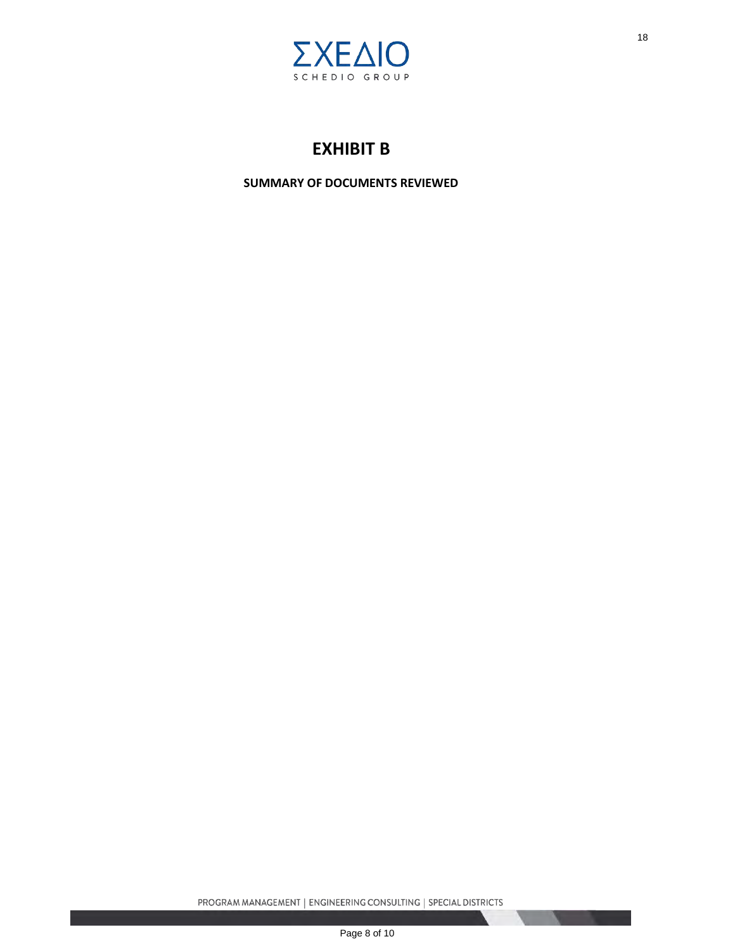

# **EXHIBIT B**

**SUMMARY OF DOCUMENTS REVIEWED**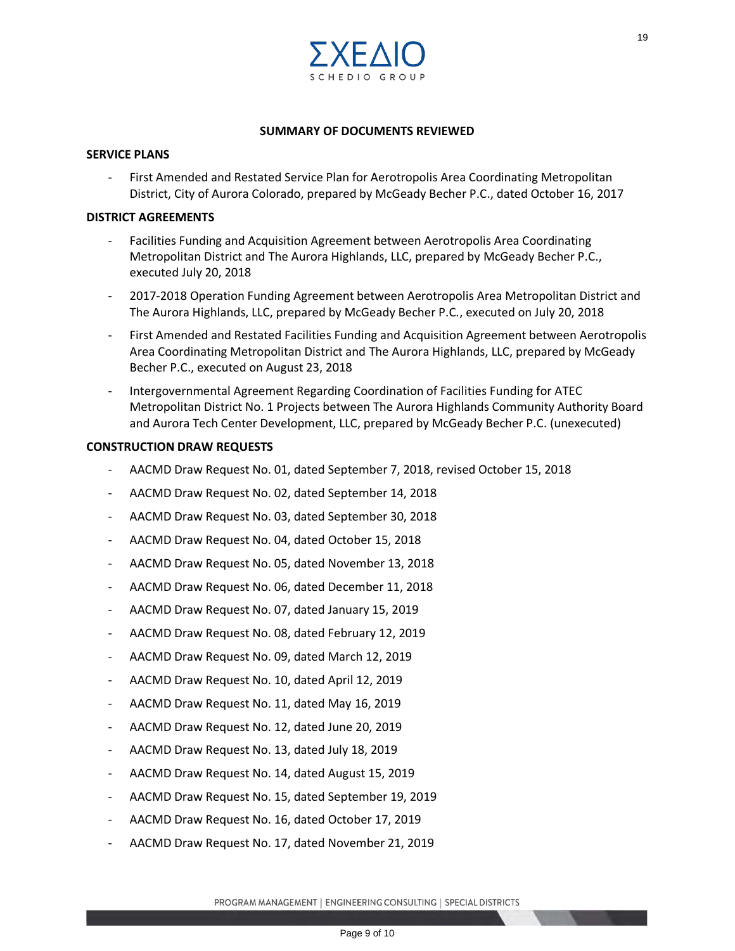

#### **SUMMARY OF DOCUMENTS REVIEWED**

#### **SERVICE PLANS**

First Amended and Restated Service Plan for Aerotropolis Area Coordinating Metropolitan District, City of Aurora Colorado, prepared by McGeady Becher P.C., dated October 16, 2017

#### **DISTRICT AGREEMENTS**

- Facilities Funding and Acquisition Agreement between Aerotropolis Area Coordinating Metropolitan District and The Aurora Highlands, LLC, prepared by McGeady Becher P.C., executed July 20, 2018
- 2017-2018 Operation Funding Agreement between Aerotropolis Area Metropolitan District and The Aurora Highlands, LLC, prepared by McGeady Becher P.C., executed on July 20, 2018
- First Amended and Restated Facilities Funding and Acquisition Agreement between Aerotropolis Area Coordinating Metropolitan District and The Aurora Highlands, LLC, prepared by McGeady Becher P.C., executed on August 23, 2018 <sup>19</sup><br>
Page 10 o G R o U P<br>
DOCUMENTS REVIEWED<br>
In for Aerotropolis Area Coordinating Metropolitan<br>
rear by McGeady Becher P.C., dated October 16, 2017<br>
rement between Aerotropolis Area Coordinating<br>
lighlands, LLC, prepare
- Intergovernmental Agreement Regarding Coordination of Facilities Funding for ATEC Metropolitan District No. 1 Projects between The Aurora Highlands Community Authority Board and Aurora Tech Center Development, LLC, prepared by McGeady Becher P.C. (unexecuted)

#### **CONSTRUCTION DRAW REQUESTS**

- AACMD Draw Request No. 01, dated September 7, 2018, revised October 15, 2018
- AACMD Draw Request No. 02, dated September 14, 2018
- AACMD Draw Request No. 03, dated September 30, 2018
- AACMD Draw Request No. 04, dated October 15, 2018
- AACMD Draw Request No. 05, dated November 13, 2018
- AACMD Draw Request No. 06, dated December 11, 2018
- AACMD Draw Request No. 07, dated January 15, 2019
- AACMD Draw Request No. 08, dated February 12, 2019
- AACMD Draw Request No. 09, dated March 12, 2019
- AACMD Draw Request No. 10, dated April 12, 2019
- AACMD Draw Request No. 11, dated May 16, 2019
- AACMD Draw Request No. 12, dated June 20, 2019
- AACMD Draw Request No. 13, dated July 18, 2019
- AACMD Draw Request No. 14, dated August 15, 2019
- AACMD Draw Request No. 15, dated September 19, 2019
- AACMD Draw Request No. 16, dated October 17, 2019
- AACMD Draw Request No. 17, dated November 21, 2019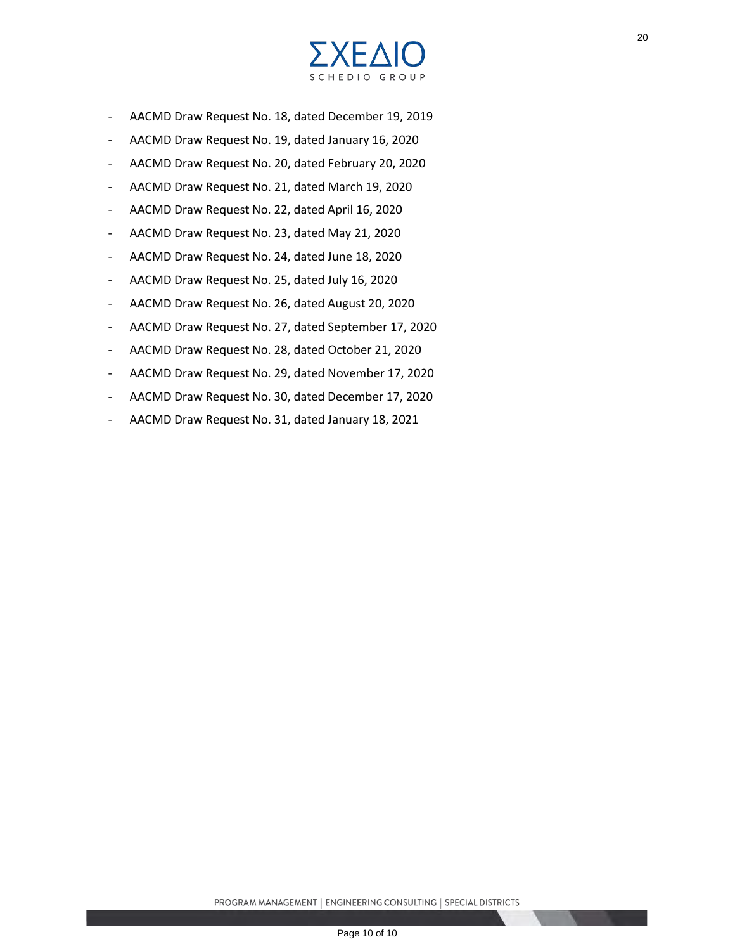

- AACMD Draw Request No. 18, dated December 19, 2019
- AACMD Draw Request No. 19, dated January 16, 2020
- AACMD Draw Request No. 20, dated February 20, 2020
- AACMD Draw Request No. 21, dated March 19, 2020
- AACMD Draw Request No. 22, dated April 16, 2020
- AACMD Draw Request No. 23, dated May 21, 2020
- AACMD Draw Request No. 24, dated June 18, 2020
- AACMD Draw Request No. 25, dated July 16, 2020
- AACMD Draw Request No. 26, dated August 20, 2020
- AACMD Draw Request No. 27, dated September 17, 2020
- AACMD Draw Request No. 28, dated October 21, 2020
- AACMD Draw Request No. 29, dated November 17, 2020
- AACMD Draw Request No. 30, dated December 17, 2020
- AACMD Draw Request No. 31, dated January 18, 2021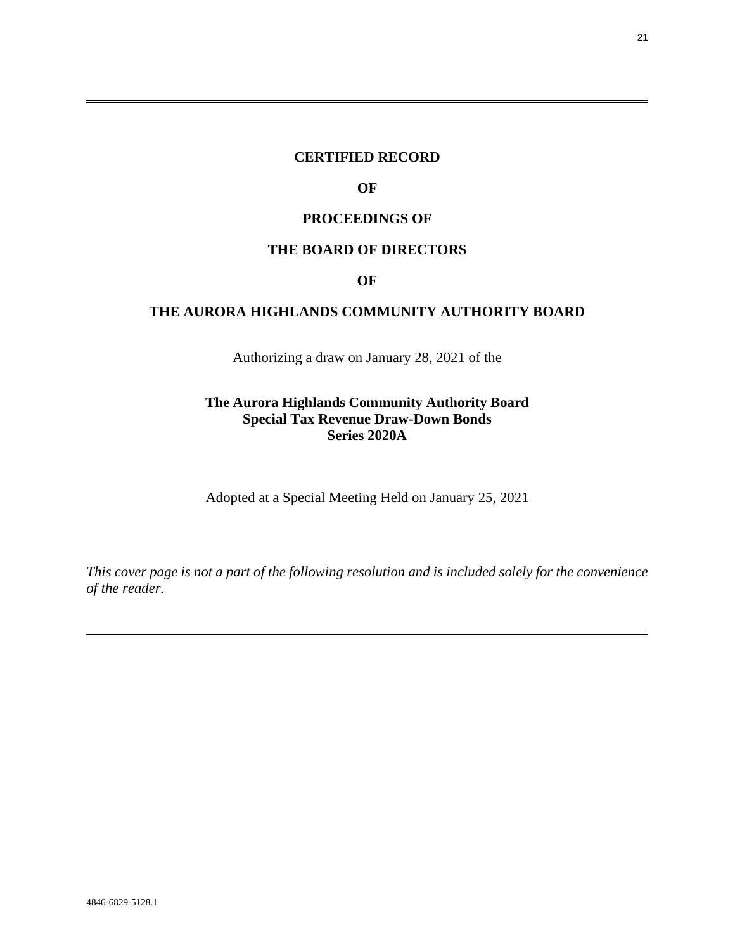# **CERTIFIED RECORD**

# **OF**

## **PROCEEDINGS OF**

## **THE BOARD OF DIRECTORS**

### **OF**

# **THE AURORA HIGHLANDS COMMUNITY AUTHORITY BOARD**

Authorizing a draw on January 28, 2021 of the

# **The Aurora Highlands Community Authority Board Special Tax Revenue Draw-Down Bonds Series 2020A**

Adopted at a Special Meeting Held on January 25, 2021

*This cover page is not a part of the following resolution and is included solely for the convenience of the reader.* 

 $\overline{a}$ 

<span id="page-20-0"></span>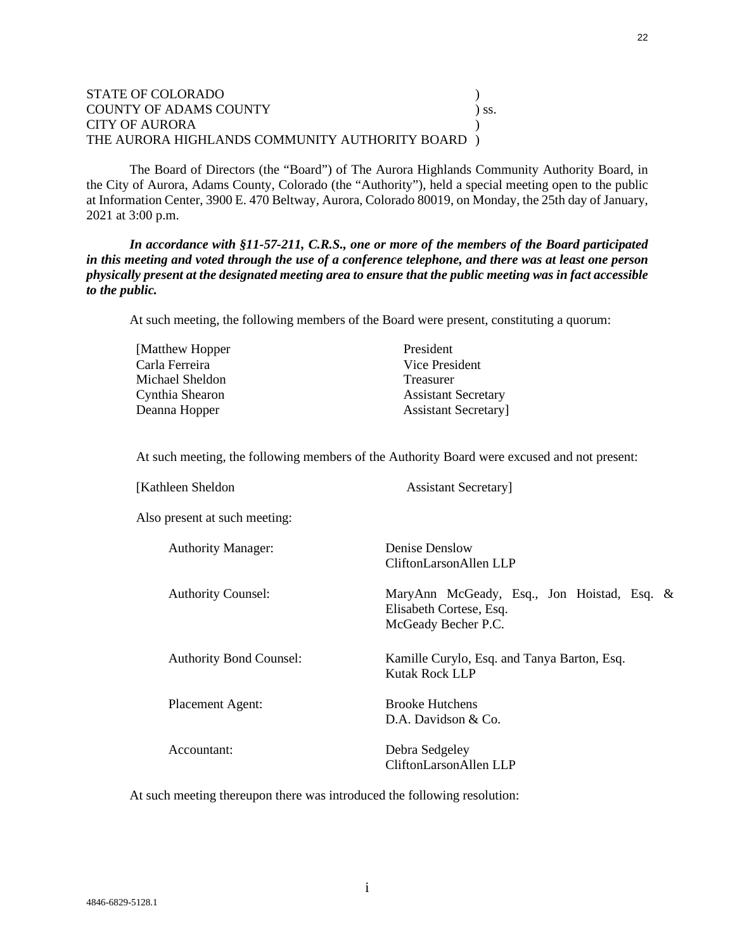#### STATE OF COLORADO DESCRIPTION OF A COLORADO DESCRIPTION OF A COLORADO DESCRIPTION OF A COLORADO DESCRIPTION OF A COLORADO DE LA COLORADO DE LA COLORADO DE LA COLORADO DE LA COLORADO DE LA COLORADO DE LA COLORADO DE LA COLO COUNTY OF ADAMS COUNTY ) ss. CITY OF AURORA THE AURORA HIGHLANDS COMMUNITY AUTHORITY BOARD )

The Board of Directors (the "Board") of The Aurora Highlands Community Authority Board, in the City of Aurora, Adams County, Colorado (the "Authority"), held a special meeting open to the public at Information Center, 3900 E. 470 Beltway, Aurora, Colorado 80019, on Monday, the 25th day of January, 2021 at 3:00 p.m.

*In accordance with §11-57-211, C.R.S., one or more of the members of the Board participated in this meeting and voted through the use of a conference telephone, and there was at least one person physically present at the designated meeting area to ensure that the public meeting was in fact accessible to the public.*

At such meeting, the following members of the Board were present, constituting a quorum:

| [Matthew Hopper] | President                  |
|------------------|----------------------------|
| Carla Ferreira   | Vice President             |
| Michael Sheldon  | Treasurer                  |
| Cynthia Shearon  | <b>Assistant Secretary</b> |
| Deanna Hopper    | <b>Assistant Secretary</b> |
|                  |                            |

At such meeting, the following members of the Authority Board were excused and not present:

| [Kathleen Sheldon              | <b>Assistant Secretary</b>                                                                   |
|--------------------------------|----------------------------------------------------------------------------------------------|
| Also present at such meeting:  |                                                                                              |
| <b>Authority Manager:</b>      | Denise Denslow<br>CliftonLarsonAllen LLP                                                     |
| <b>Authority Counsel:</b>      | MaryAnn McGeady, Esq., Jon Hoistad, Esq. &<br>Elisabeth Cortese, Esq.<br>McGeady Becher P.C. |
| <b>Authority Bond Counsel:</b> | Kamille Curylo, Esq. and Tanya Barton, Esq.<br><b>Kutak Rock LLP</b>                         |
| Placement Agent:               | <b>Brooke Hutchens</b><br>D.A. Davidson & Co.                                                |
| Accountant:                    | Debra Sedgeley<br>CliftonLarsonAllen LLP                                                     |

At such meeting thereupon there was introduced the following resolution: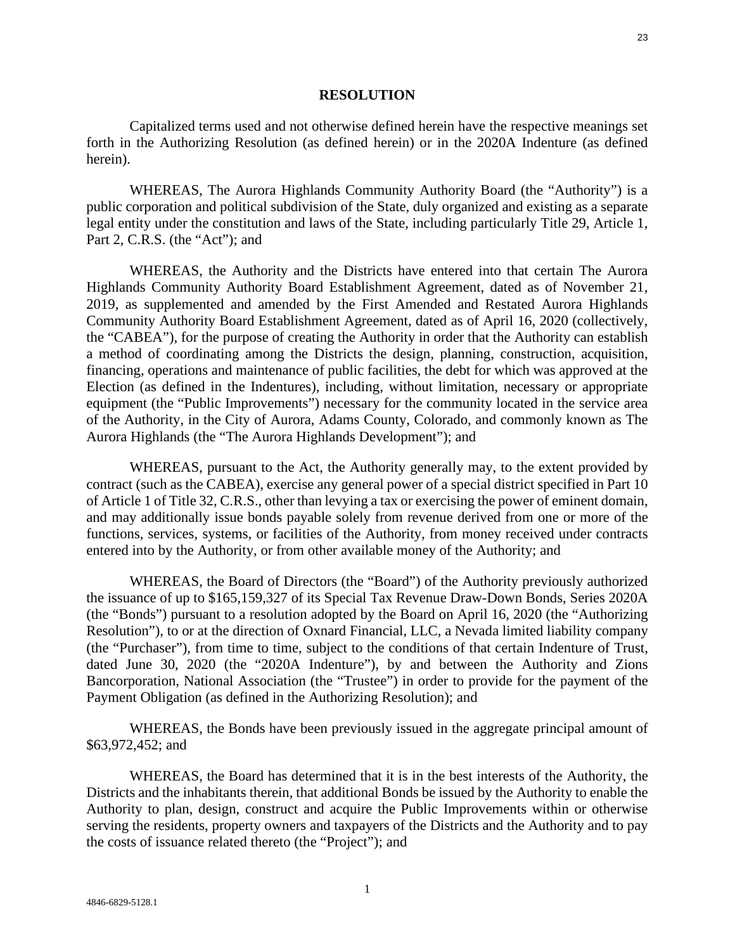#### **RESOLUTION**

Capitalized terms used and not otherwise defined herein have the respective meanings set forth in the Authorizing Resolution (as defined herein) or in the 2020A Indenture (as defined herein).

WHEREAS, The Aurora Highlands Community Authority Board (the "Authority") is a public corporation and political subdivision of the State, duly organized and existing as a separate legal entity under the constitution and laws of the State, including particularly Title 29, Article 1, Part 2, C.R.S. (the "Act"); and

WHEREAS, the Authority and the Districts have entered into that certain The Aurora Highlands Community Authority Board Establishment Agreement, dated as of November 21, 2019, as supplemented and amended by the First Amended and Restated Aurora Highlands Community Authority Board Establishment Agreement, dated as of April 16, 2020 (collectively, the "CABEA"), for the purpose of creating the Authority in order that the Authority can establish a method of coordinating among the Districts the design, planning, construction, acquisition, financing, operations and maintenance of public facilities, the debt for which was approved at the Election (as defined in the Indentures), including, without limitation, necessary or appropriate equipment (the "Public Improvements") necessary for the community located in the service area of the Authority, in the City of Aurora, Adams County, Colorado, and commonly known as The Aurora Highlands (the "The Aurora Highlands Development"); and

WHEREAS, pursuant to the Act, the Authority generally may, to the extent provided by contract (such as the CABEA), exercise any general power of a special district specified in Part 10 of Article 1 of Title 32, C.R.S., other than levying a tax or exercising the power of eminent domain, and may additionally issue bonds payable solely from revenue derived from one or more of the functions, services, systems, or facilities of the Authority, from money received under contracts entered into by the Authority, or from other available money of the Authority; and

WHEREAS, the Board of Directors (the "Board") of the Authority previously authorized the issuance of up to \$165,159,327 of its Special Tax Revenue Draw-Down Bonds, Series 2020A (the "Bonds") pursuant to a resolution adopted by the Board on April 16, 2020 (the "Authorizing Resolution"), to or at the direction of Oxnard Financial, LLC, a Nevada limited liability company (the "Purchaser"), from time to time, subject to the conditions of that certain Indenture of Trust, dated June 30, 2020 (the "2020A Indenture"), by and between the Authority and Zions Bancorporation, National Association (the "Trustee") in order to provide for the payment of the Payment Obligation (as defined in the Authorizing Resolution); and

WHEREAS, the Bonds have been previously issued in the aggregate principal amount of \$63,972,452; and

WHEREAS, the Board has determined that it is in the best interests of the Authority, the Districts and the inhabitants therein, that additional Bonds be issued by the Authority to enable the Authority to plan, design, construct and acquire the Public Improvements within or otherwise serving the residents, property owners and taxpayers of the Districts and the Authority and to pay the costs of issuance related thereto (the "Project"); and

23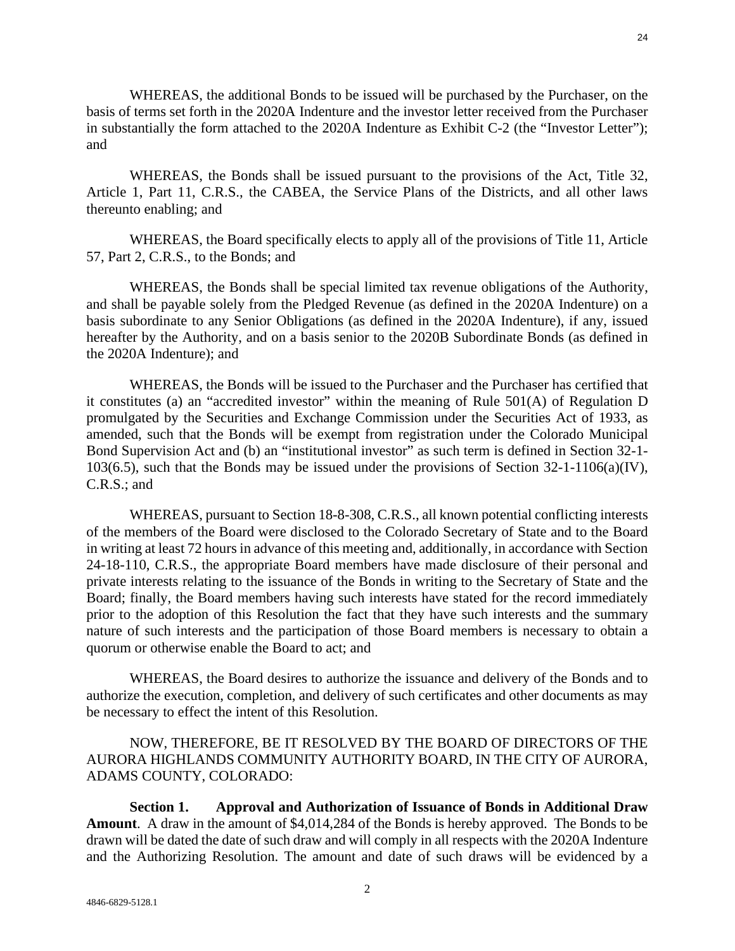WHEREAS, the additional Bonds to be issued will be purchased by the Purchaser, on the basis of terms set forth in the 2020A Indenture and the investor letter received from the Purchaser in substantially the form attached to the 2020A Indenture as Exhibit C-2 (the "Investor Letter"); and

WHEREAS, the Bonds shall be issued pursuant to the provisions of the Act, Title 32, Article 1, Part 11, C.R.S., the CABEA, the Service Plans of the Districts, and all other laws thereunto enabling; and

WHEREAS, the Board specifically elects to apply all of the provisions of Title 11, Article 57, Part 2, C.R.S., to the Bonds; and

WHEREAS, the Bonds shall be special limited tax revenue obligations of the Authority, and shall be payable solely from the Pledged Revenue (as defined in the 2020A Indenture) on a basis subordinate to any Senior Obligations (as defined in the 2020A Indenture), if any, issued hereafter by the Authority, and on a basis senior to the 2020B Subordinate Bonds (as defined in the 2020A Indenture); and

WHEREAS, the Bonds will be issued to the Purchaser and the Purchaser has certified that it constitutes (a) an "accredited investor" within the meaning of Rule  $501(A)$  of Regulation D promulgated by the Securities and Exchange Commission under the Securities Act of 1933, as amended, such that the Bonds will be exempt from registration under the Colorado Municipal Bond Supervision Act and (b) an "institutional investor" as such term is defined in Section 32-1- 103(6.5), such that the Bonds may be issued under the provisions of Section 32-1-1106(a)(IV), C.R.S.; and

WHEREAS, pursuant to Section 18-8-308, C.R.S., all known potential conflicting interests of the members of the Board were disclosed to the Colorado Secretary of State and to the Board in writing at least 72 hours in advance of this meeting and, additionally, in accordance with Section 24-18-110, C.R.S., the appropriate Board members have made disclosure of their personal and private interests relating to the issuance of the Bonds in writing to the Secretary of State and the Board; finally, the Board members having such interests have stated for the record immediately prior to the adoption of this Resolution the fact that they have such interests and the summary nature of such interests and the participation of those Board members is necessary to obtain a quorum or otherwise enable the Board to act; and

WHEREAS, the Board desires to authorize the issuance and delivery of the Bonds and to authorize the execution, completion, and delivery of such certificates and other documents as may be necessary to effect the intent of this Resolution.

# NOW, THEREFORE, BE IT RESOLVED BY THE BOARD OF DIRECTORS OF THE AURORA HIGHLANDS COMMUNITY AUTHORITY BOARD, IN THE CITY OF AURORA, ADAMS COUNTY, COLORADO:

**Section 1. Approval and Authorization of Issuance of Bonds in Additional Draw Amount**. A draw in the amount of \$4,014,284 of the Bonds is hereby approved. The Bonds to be drawn will be dated the date of such draw and will comply in all respects with the 2020A Indenture and the Authorizing Resolution. The amount and date of such draws will be evidenced by a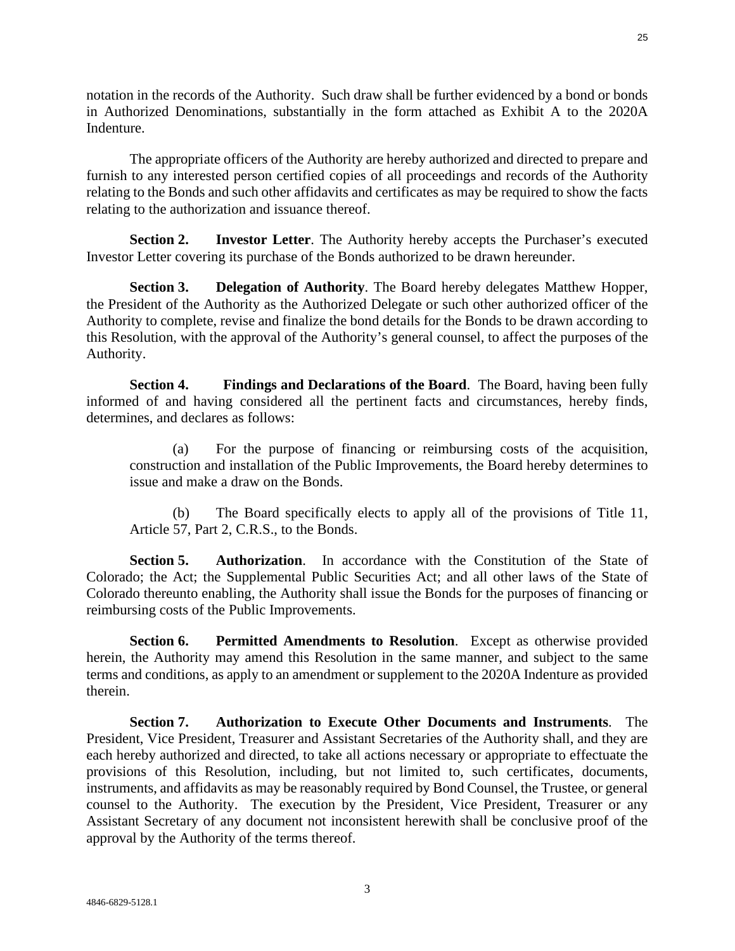notation in the records of the Authority. Such draw shall be further evidenced by a bond or bonds in Authorized Denominations, substantially in the form attached as Exhibit A to the 2020A Indenture.

The appropriate officers of the Authority are hereby authorized and directed to prepare and furnish to any interested person certified copies of all proceedings and records of the Authority relating to the Bonds and such other affidavits and certificates as may be required to show the facts relating to the authorization and issuance thereof.

**Section 2. Investor Letter**. The Authority hereby accepts the Purchaser's executed Investor Letter covering its purchase of the Bonds authorized to be drawn hereunder.

**Section 3. Delegation of Authority**. The Board hereby delegates Matthew Hopper, the President of the Authority as the Authorized Delegate or such other authorized officer of the Authority to complete, revise and finalize the bond details for the Bonds to be drawn according to this Resolution, with the approval of the Authority's general counsel, to affect the purposes of the Authority.

**Section 4. Findings and Declarations of the Board**. The Board, having been fully informed of and having considered all the pertinent facts and circumstances, hereby finds, determines, and declares as follows:

(a) For the purpose of financing or reimbursing costs of the acquisition, construction and installation of the Public Improvements, the Board hereby determines to issue and make a draw on the Bonds.

(b) The Board specifically elects to apply all of the provisions of Title 11, Article 57, Part 2, C.R.S., to the Bonds.

**Section 5. Authorization**. In accordance with the Constitution of the State of Colorado; the Act; the Supplemental Public Securities Act; and all other laws of the State of Colorado thereunto enabling, the Authority shall issue the Bonds for the purposes of financing or reimbursing costs of the Public Improvements.

**Section 6. Permitted Amendments to Resolution**. Except as otherwise provided herein, the Authority may amend this Resolution in the same manner, and subject to the same terms and conditions, as apply to an amendment or supplement to the 2020A Indenture as provided therein.

**Section 7. Authorization to Execute Other Documents and Instruments**. The President, Vice President, Treasurer and Assistant Secretaries of the Authority shall, and they are each hereby authorized and directed, to take all actions necessary or appropriate to effectuate the provisions of this Resolution, including, but not limited to, such certificates, documents, instruments, and affidavits as may be reasonably required by Bond Counsel, the Trustee, or general counsel to the Authority. The execution by the President, Vice President, Treasurer or any Assistant Secretary of any document not inconsistent herewith shall be conclusive proof of the approval by the Authority of the terms thereof.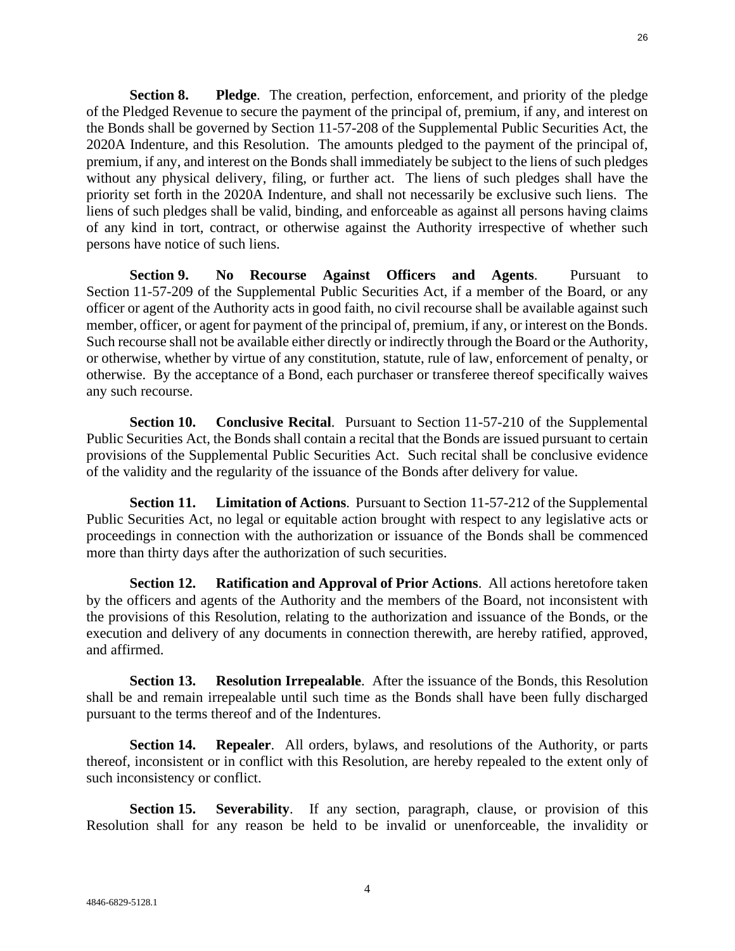**Section 8. Pledge**. The creation, perfection, enforcement, and priority of the pledge of the Pledged Revenue to secure the payment of the principal of, premium, if any, and interest on the Bonds shall be governed by Section 11-57-208 of the Supplemental Public Securities Act, the 2020A Indenture, and this Resolution. The amounts pledged to the payment of the principal of, premium, if any, and interest on the Bonds shall immediately be subject to the liens of such pledges without any physical delivery, filing, or further act. The liens of such pledges shall have the priority set forth in the 2020A Indenture, and shall not necessarily be exclusive such liens. The liens of such pledges shall be valid, binding, and enforceable as against all persons having claims of any kind in tort, contract, or otherwise against the Authority irrespective of whether such persons have notice of such liens.

**Section 9. No Recourse Against Officers and Agents**. Pursuant to Section 11-57-209 of the Supplemental Public Securities Act, if a member of the Board, or any officer or agent of the Authority acts in good faith, no civil recourse shall be available against such member, officer, or agent for payment of the principal of, premium, if any, or interest on the Bonds. Such recourse shall not be available either directly or indirectly through the Board or the Authority, or otherwise, whether by virtue of any constitution, statute, rule of law, enforcement of penalty, or otherwise. By the acceptance of a Bond, each purchaser or transferee thereof specifically waives any such recourse.

**Section 10. Conclusive Recital**. Pursuant to Section 11-57-210 of the Supplemental Public Securities Act, the Bonds shall contain a recital that the Bonds are issued pursuant to certain provisions of the Supplemental Public Securities Act. Such recital shall be conclusive evidence of the validity and the regularity of the issuance of the Bonds after delivery for value.

**Section 11. Limitation of Actions**. Pursuant to Section 11-57-212 of the Supplemental Public Securities Act, no legal or equitable action brought with respect to any legislative acts or proceedings in connection with the authorization or issuance of the Bonds shall be commenced more than thirty days after the authorization of such securities.

**Section 12. Ratification and Approval of Prior Actions**. All actions heretofore taken by the officers and agents of the Authority and the members of the Board, not inconsistent with the provisions of this Resolution, relating to the authorization and issuance of the Bonds, or the execution and delivery of any documents in connection therewith, are hereby ratified, approved, and affirmed.

**Section 13. Resolution Irrepealable**. After the issuance of the Bonds, this Resolution shall be and remain irrepealable until such time as the Bonds shall have been fully discharged pursuant to the terms thereof and of the Indentures.

**Section 14. Repealer**. All orders, bylaws, and resolutions of the Authority, or parts thereof, inconsistent or in conflict with this Resolution, are hereby repealed to the extent only of such inconsistency or conflict.

**Section 15. Severability**. If any section, paragraph, clause, or provision of this Resolution shall for any reason be held to be invalid or unenforceable, the invalidity or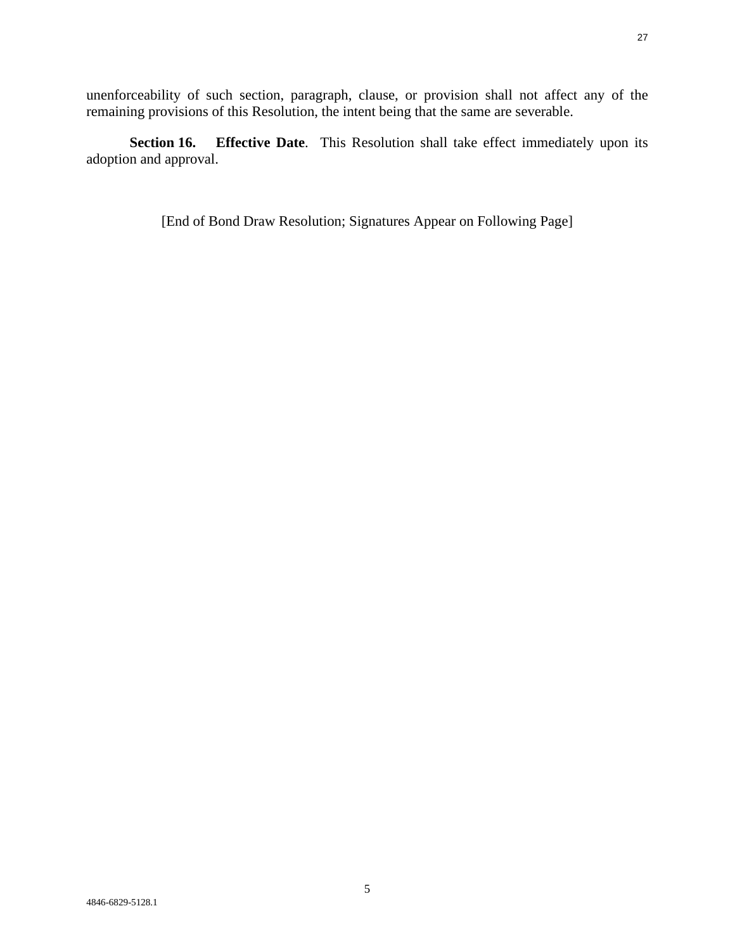unenforceability of such section, paragraph, clause, or provision shall not affect any of the remaining provisions of this Resolution, the intent being that the same are severable.

**Section 16. Effective Date**. This Resolution shall take effect immediately upon its adoption and approval.

[End of Bond Draw Resolution; Signatures Appear on Following Page]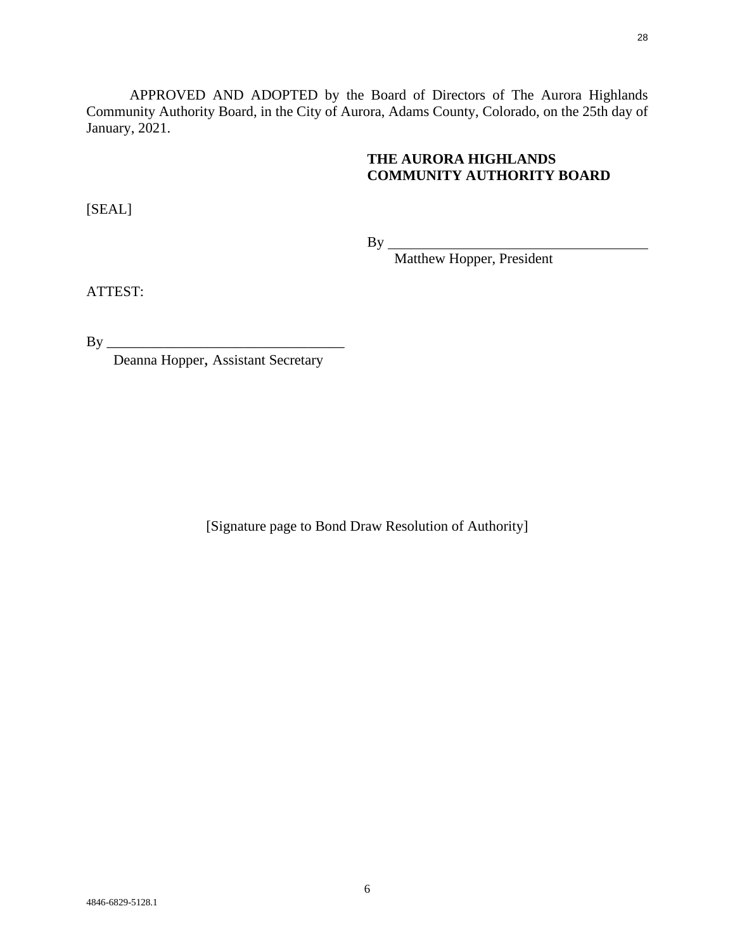APPROVED AND ADOPTED by the Board of Directors of The Aurora Highlands Community Authority Board, in the City of Aurora, Adams County, Colorado, on the 25th day of January, 2021.

# **THE AURORA HIGHLANDS COMMUNITY AUTHORITY BOARD**

[SEAL]

By

Matthew Hopper, President

ATTEST:

By \_\_\_\_\_\_\_\_\_\_\_\_\_\_\_\_\_\_\_\_\_\_\_\_\_\_\_\_\_\_\_\_\_

Deanna Hopper, Assistant Secretary

[Signature page to Bond Draw Resolution of Authority]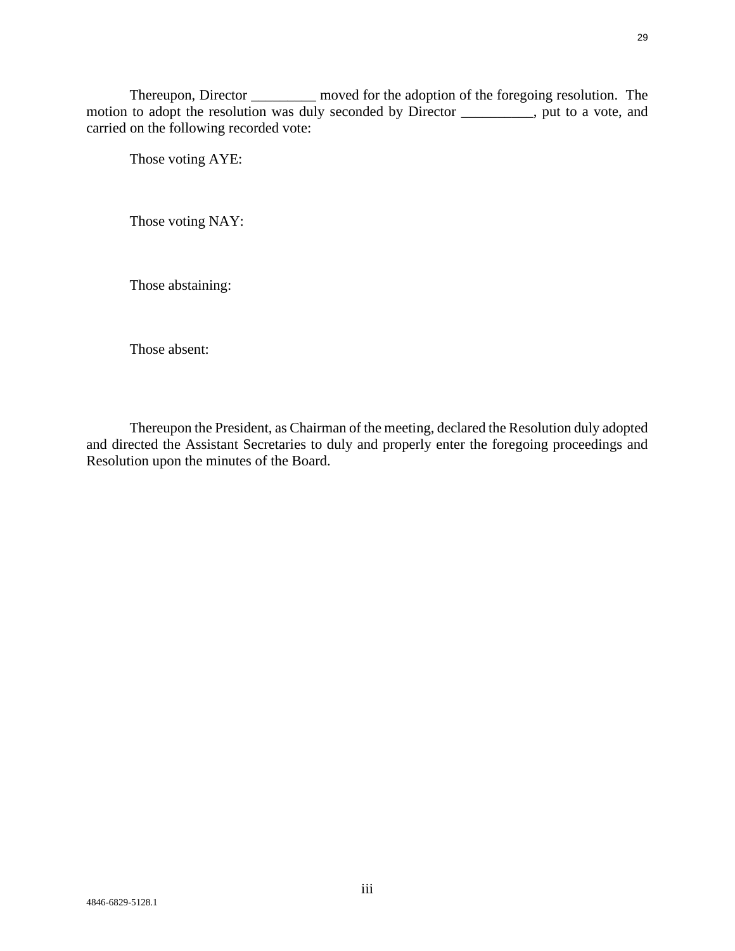Thereupon, Director \_\_\_\_\_\_\_\_\_ moved for the adoption of the foregoing resolution. The motion to adopt the resolution was duly seconded by Director \_\_\_\_\_\_\_\_, put to a vote, and carried on the following recorded vote:

Those voting AYE:

Those voting NAY:

Those abstaining:

Those absent:

Thereupon the President, as Chairman of the meeting, declared the Resolution duly adopted and directed the Assistant Secretaries to duly and properly enter the foregoing proceedings and Resolution upon the minutes of the Board.